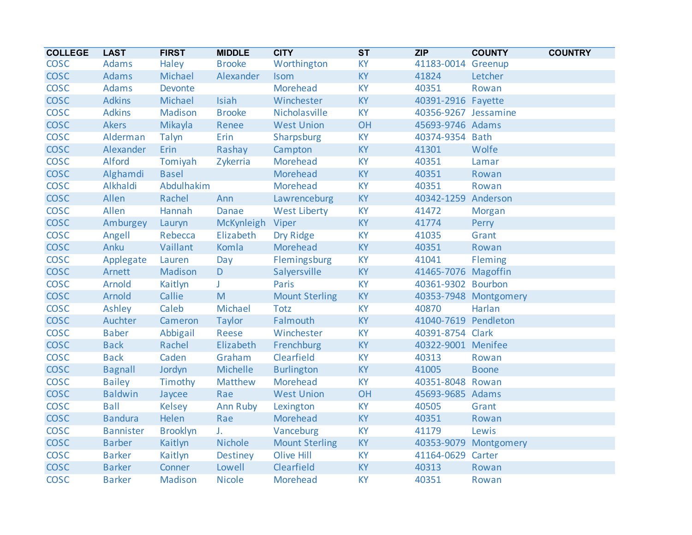| <b>COLLEGE</b> | <b>LAST</b>      | <b>FIRST</b>    | <b>MIDDLE</b>    | <b>CITY</b>           | $\overline{\text{ST}}$ | ZIP                  | <b>COUNTY</b>         | <b>COUNTRY</b> |
|----------------|------------------|-----------------|------------------|-----------------------|------------------------|----------------------|-----------------------|----------------|
| <b>COSC</b>    | Adams            | Haley           | <b>Brooke</b>    | Worthington           | <b>KY</b>              | 41183-0014 Greenup   |                       |                |
| <b>COSC</b>    | <b>Adams</b>     | Michael         | Alexander        | <b>Isom</b>           | <b>KY</b>              | 41824                | Letcher               |                |
| <b>COSC</b>    | Adams            | Devonte         |                  | Morehead              | KY                     | 40351                | Rowan                 |                |
| <b>COSC</b>    | <b>Adkins</b>    | Michael         | Isiah            | Winchester            | <b>KY</b>              | 40391-2916 Fayette   |                       |                |
| <b>COSC</b>    | <b>Adkins</b>    | Madison         | <b>Brooke</b>    | Nicholasville         | <b>KY</b>              | 40356-9267 Jessamine |                       |                |
| <b>COSC</b>    | <b>Akers</b>     | Mikayla         | Renee            | <b>West Union</b>     | OH                     | 45693-9746 Adams     |                       |                |
| <b>COSC</b>    | Alderman         | Talyn           | Erin             | Sharpsburg            | <b>KY</b>              | 40374-9354 Bath      |                       |                |
| <b>COSC</b>    | Alexander        | Erin            | Rashay           | Campton               | <b>KY</b>              | 41301                | Wolfe                 |                |
| <b>COSC</b>    | Alford           | Tomiyah         | Zykerria         | Morehead              | <b>KY</b>              | 40351                | Lamar                 |                |
| <b>COSC</b>    | Alghamdi         | <b>Basel</b>    |                  | Morehead              | <b>KY</b>              | 40351                | Rowan                 |                |
| <b>COSC</b>    | Alkhaldi         | Abdulhakim      |                  | Morehead              | <b>KY</b>              | 40351                | Rowan                 |                |
| <b>COSC</b>    | Allen            | Rachel          | Ann              | Lawrenceburg          | KY                     | 40342-1259           | Anderson              |                |
| <b>COSC</b>    | Allen            | Hannah          | Danae            | <b>West Liberty</b>   | <b>KY</b>              | 41472                | <b>Morgan</b>         |                |
| <b>COSC</b>    | Amburgey         | Lauryn          | McKynleigh Viper |                       | <b>KY</b>              | 41774                | Perry                 |                |
| <b>COSC</b>    | Angell           | Rebecca         | Elizabeth        | Dry Ridge             | KY                     | 41035                | Grant                 |                |
| <b>COSC</b>    | Anku             | Vaillant        | Komla            | Morehead              | <b>KY</b>              | 40351                | Rowan                 |                |
| <b>COSC</b>    | Applegate        | Lauren          | Day              | Flemingsburg          | KY                     | 41041                | Fleming               |                |
| <b>COSC</b>    | Arnett           | Madison         | D                | Salyersville          | KY                     | 41465-7076 Magoffin  |                       |                |
| <b>COSC</b>    | Arnold           | Kaitlyn         | J.               | Paris                 | <b>KY</b>              | 40361-9302 Bourbon   |                       |                |
| <b>COSC</b>    | Arnold           | Callie          | M                | <b>Mount Sterling</b> | <b>KY</b>              |                      | 40353-7948 Montgomery |                |
| <b>COSC</b>    | Ashley           | Caleb           | Michael          | <b>Totz</b>           | <b>KY</b>              | 40870                | Harlan                |                |
| <b>COSC</b>    | Auchter          | Cameron         | Taylor           | Falmouth              | <b>KY</b>              | 41040-7619 Pendleton |                       |                |
| <b>COSC</b>    | <b>Baber</b>     | Abbigail        | Reese            | Winchester            | <b>KY</b>              | 40391-8754 Clark     |                       |                |
| <b>COSC</b>    | <b>Back</b>      | Rachel          | Elizabeth        | Frenchburg            | KY                     | 40322-9001 Menifee   |                       |                |
| <b>COSC</b>    | <b>Back</b>      | Caden           | Graham           | Clearfield            | <b>KY</b>              | 40313                | Rowan                 |                |
| <b>COSC</b>    | <b>Bagnall</b>   | Jordyn          | Michelle         | <b>Burlington</b>     | <b>KY</b>              | 41005                | <b>Boone</b>          |                |
| <b>COSC</b>    | <b>Bailey</b>    | Timothy         | Matthew          | Morehead              | <b>KY</b>              | 40351-8048 Rowan     |                       |                |
| <b>COSC</b>    | <b>Baldwin</b>   | Jaycee          | Rae              | <b>West Union</b>     | OH                     | 45693-9685 Adams     |                       |                |
| <b>COSC</b>    | <b>Ball</b>      | Kelsey          | Ann Ruby         | Lexington             | <b>KY</b>              | 40505                | Grant                 |                |
| <b>COSC</b>    | <b>Bandura</b>   | Helen           | Rae              | Morehead              | <b>KY</b>              | 40351                | Rowan                 |                |
| <b>COSC</b>    | <b>Bannister</b> | <b>Brooklyn</b> | $J_{\star}$      | Vanceburg             | <b>KY</b>              | 41179                | Lewis                 |                |
| <b>COSC</b>    | <b>Barber</b>    | Kaitlyn         | Nichole          | <b>Mount Sterling</b> | <b>KY</b>              |                      | 40353-9079 Montgomery |                |
| <b>COSC</b>    | <b>Barker</b>    | Kaitlyn         | Destiney         | <b>Olive Hill</b>     | KY                     | 41164-0629 Carter    |                       |                |
| <b>COSC</b>    | <b>Barker</b>    | Conner          | Lowell           | Clearfield            | <b>KY</b>              | 40313                | Rowan                 |                |
| <b>COSC</b>    | <b>Barker</b>    | Madison         | <b>Nicole</b>    | Morehead              | <b>KY</b>              | 40351                | Rowan                 |                |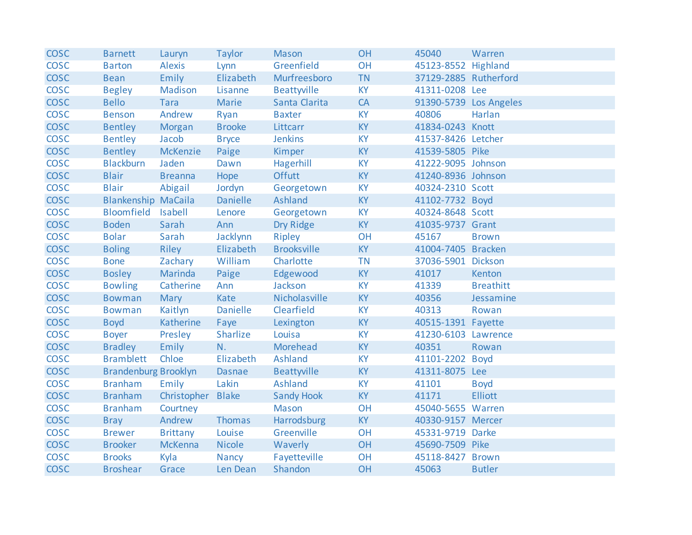| <b>COSC</b> | <b>Barnett</b>              | Lauryn            | Taylor          | <b>Mason</b>       | OH        | 45040                  | Warren           |
|-------------|-----------------------------|-------------------|-----------------|--------------------|-----------|------------------------|------------------|
| <b>COSC</b> | <b>Barton</b>               | <b>Alexis</b>     | Lynn            | Greenfield         | <b>OH</b> | 45123-8552 Highland    |                  |
| <b>COSC</b> | <b>Bean</b>                 | Emily             | Elizabeth       | Murfreesboro       | <b>TN</b> | 37129-2885 Rutherford  |                  |
| <b>COSC</b> | <b>Begley</b>               | Madison           | Lisanne         | Beattyville        | <b>KY</b> | 41311-0208 Lee         |                  |
| <b>COSC</b> | <b>Bello</b>                | <b>Tara</b>       | Marie           | Santa Clarita      | CA        | 91390-5739 Los Angeles |                  |
| <b>COSC</b> | <b>Benson</b>               | Andrew            | Ryan            | <b>Baxter</b>      | KY        | 40806                  | Harlan           |
| <b>COSC</b> | <b>Bentley</b>              | Morgan            | <b>Brooke</b>   | Littcarr           | <b>KY</b> | 41834-0243 Knott       |                  |
| <b>COSC</b> | <b>Bentley</b>              | Jacob             | <b>Bryce</b>    | <b>Jenkins</b>     | <b>KY</b> | 41537-8426 Letcher     |                  |
| <b>COSC</b> | <b>Bentley</b>              | <b>McKenzie</b>   | Paige           | Kimper             | KY        | 41539-5805 Pike        |                  |
| <b>COSC</b> | <b>Blackburn</b>            | Jaden             | Dawn            | Hagerhill          | <b>KY</b> | 41222-9095 Johnson     |                  |
| <b>COSC</b> | <b>Blair</b>                | <b>Breanna</b>    | Hope            | <b>Offutt</b>      | <b>KY</b> | 41240-8936 Johnson     |                  |
| <b>COSC</b> | <b>Blair</b>                | Abigail           | Jordyn          | Georgetown         | <b>KY</b> | 40324-2310 Scott       |                  |
| <b>COSC</b> | <b>Blankenship MaCaila</b>  |                   | Danielle        | Ashland            | <b>KY</b> | 41102-7732 Boyd        |                  |
| <b>COSC</b> | Bloomfield Isabell          |                   | Lenore          | Georgetown         | <b>KY</b> | 40324-8648 Scott       |                  |
| <b>COSC</b> | <b>Boden</b>                | Sarah             | Ann             | Dry Ridge          | <b>KY</b> | 41035-9737 Grant       |                  |
| <b>COSC</b> | <b>Bolar</b>                | Sarah             | Jacklynn        | Ripley             | OH        | 45167                  | <b>Brown</b>     |
| <b>COSC</b> | <b>Boling</b>               | Riley             | Elizabeth       | <b>Brooksville</b> | <b>KY</b> | 41004-7405 Bracken     |                  |
| <b>COSC</b> | <b>Bone</b>                 | Zachary           | William         | Charlotte          | <b>TN</b> | 37036-5901 Dickson     |                  |
| <b>COSC</b> | <b>Bosley</b>               | Marinda           | Paige           | Edgewood           | <b>KY</b> | 41017                  | Kenton           |
| <b>COSC</b> | <b>Bowling</b>              | Catherine         | Ann             | Jackson            | <b>KY</b> | 41339                  | <b>Breathitt</b> |
| <b>COSC</b> | <b>Bowman</b>               | Mary              | Kate            | Nicholasville      | KY        | 40356                  | Jessamine        |
| <b>COSC</b> | <b>Bowman</b>               | Kaitlyn           | <b>Danielle</b> | Clearfield         | <b>KY</b> | 40313                  | Rowan            |
| <b>COSC</b> | <b>Boyd</b>                 | Katherine         | Faye            | Lexington          | <b>KY</b> | 40515-1391 Fayette     |                  |
| <b>COSC</b> | <b>Boyer</b>                | Presley           | Sharlize        | Louisa             | <b>KY</b> | 41230-6103 Lawrence    |                  |
| <b>COSC</b> | <b>Bradley</b>              | Emily             | N.              | Morehead           | <b>KY</b> | 40351                  | Rowan            |
| <b>COSC</b> | <b>Bramblett</b>            | Chloe             | Elizabeth       | Ashland            | <b>KY</b> | 41101-2202 Boyd        |                  |
| <b>COSC</b> | <b>Brandenburg Brooklyn</b> |                   | <b>Dasnae</b>   | Beattyville        | <b>KY</b> | 41311-8075 Lee         |                  |
| <b>COSC</b> | <b>Branham</b>              | Emily             | Lakin           | Ashland            | <b>KY</b> | 41101                  | <b>Boyd</b>      |
| <b>COSC</b> | <b>Branham</b>              | Christopher Blake |                 | <b>Sandy Hook</b>  | <b>KY</b> | 41171                  | <b>Elliott</b>   |
| <b>COSC</b> | <b>Branham</b>              | Courtney          |                 | Mason              | OH        | 45040-5655 Warren      |                  |
| <b>COSC</b> | <b>Bray</b>                 | Andrew            | <b>Thomas</b>   | Harrodsburg        | <b>KY</b> | 40330-9157 Mercer      |                  |
| <b>COSC</b> | <b>Brewer</b>               | <b>Brittany</b>   | Louise          | Greenville         | OH        | 45331-9719 Darke       |                  |
| <b>COSC</b> | <b>Brooker</b>              | <b>McKenna</b>    | <b>Nicole</b>   | Waverly            | OH        | 45690-7509 Pike        |                  |
| <b>COSC</b> | <b>Brooks</b>               | Kyla              | Nancy           | Fayetteville       | OH        | 45118-8427 Brown       |                  |
| <b>COSC</b> | <b>Broshear</b>             | Grace             | Len Dean        | Shandon            | OH        | 45063                  | <b>Butler</b>    |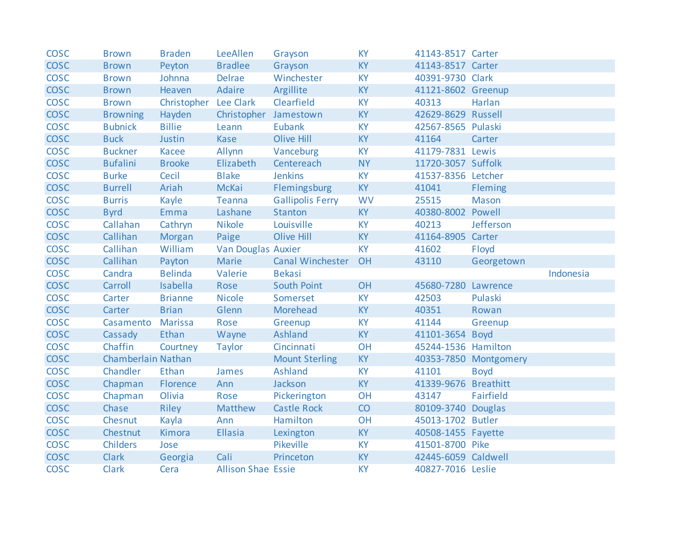| <b>COSC</b> | <b>Brown</b>       | <b>Braden</b>         | LeeAllen                  | Grayson                 | <b>KY</b> | 41143-8517 Carter    |                       |           |
|-------------|--------------------|-----------------------|---------------------------|-------------------------|-----------|----------------------|-----------------------|-----------|
| <b>COSC</b> | <b>Brown</b>       | Peyton                | <b>Bradlee</b>            | Grayson                 | <b>KY</b> | 41143-8517 Carter    |                       |           |
| <b>COSC</b> | <b>Brown</b>       | Johnna                | Delrae                    | Winchester              | <b>KY</b> | 40391-9730 Clark     |                       |           |
| <b>COSC</b> | <b>Brown</b>       | Heaven                | Adaire                    | Argillite               | <b>KY</b> | 41121-8602 Greenup   |                       |           |
| <b>COSC</b> | <b>Brown</b>       | Christopher Lee Clark |                           | Clearfield              | <b>KY</b> | 40313                | Harlan                |           |
| <b>COSC</b> | <b>Browning</b>    | Hayden                | Christopher Jamestown     |                         | <b>KY</b> | 42629-8629 Russell   |                       |           |
| <b>COSC</b> | <b>Bubnick</b>     | <b>Billie</b>         | Leann                     | Eubank                  | <b>KY</b> | 42567-8565 Pulaski   |                       |           |
| <b>COSC</b> | <b>Buck</b>        | Justin                | <b>Kase</b>               | <b>Olive Hill</b>       | <b>KY</b> | 41164                | Carter                |           |
| <b>COSC</b> | <b>Buckner</b>     | Kacee                 | Allynn                    | Vanceburg               | <b>KY</b> | 41179-7831 Lewis     |                       |           |
| <b>COSC</b> | <b>Bufalini</b>    | <b>Brooke</b>         | Elizabeth                 | Centereach              | <b>NY</b> | 11720-3057 Suffolk   |                       |           |
| <b>COSC</b> | <b>Burke</b>       | Cecil                 | <b>Blake</b>              | <b>Jenkins</b>          | <b>KY</b> | 41537-8356 Letcher   |                       |           |
| <b>COSC</b> | <b>Burrell</b>     | Ariah                 | McKai                     | Flemingsburg            | <b>KY</b> | 41041                | Fleming               |           |
| <b>COSC</b> | <b>Burris</b>      | Kayle                 | Teanna                    | <b>Gallipolis Ferry</b> | <b>WV</b> | 25515                | <b>Mason</b>          |           |
| <b>COSC</b> | <b>Byrd</b>        | Emma                  | Lashane                   | Stanton                 | <b>KY</b> | 40380-8002 Powell    |                       |           |
| <b>COSC</b> | Callahan           | Cathryn               | <b>Nikole</b>             | Louisville              | <b>KY</b> | 40213                | Jefferson             |           |
| <b>COSC</b> | Callihan           | Morgan                | Paige                     | <b>Olive Hill</b>       | <b>KY</b> | 41164-8905 Carter    |                       |           |
| <b>COSC</b> | Callihan           | William               | <b>Van Douglas Auxier</b> |                         | <b>KY</b> | 41602                | Floyd                 |           |
| <b>COSC</b> | Callihan           | Payton                | Marie                     | <b>Canal Winchester</b> | OH        | 43110                | Georgetown            |           |
| <b>COSC</b> | Candra             | <b>Belinda</b>        | Valerie                   | <b>Bekasi</b>           |           |                      |                       | Indonesia |
| <b>COSC</b> | Carroll            | Isabella              | Rose                      | <b>South Point</b>      | OH        | 45680-7280 Lawrence  |                       |           |
| <b>COSC</b> | Carter             | <b>Brianne</b>        | <b>Nicole</b>             | Somerset                | <b>KY</b> | 42503                | Pulaski               |           |
| <b>COSC</b> | Carter             | <b>Brian</b>          | Glenn                     | Morehead                | KY        | 40351                | Rowan                 |           |
| <b>COSC</b> | Casamento          | <b>Marissa</b>        | Rose                      | Greenup                 | <b>KY</b> | 41144                | Greenup               |           |
| <b>COSC</b> | Cassady            | Ethan                 | Wayne                     | Ashland                 | <b>KY</b> | 41101-3654 Boyd      |                       |           |
| <b>COSC</b> | Chaffin            | Courtney              | <b>Taylor</b>             | Cincinnati              | OH        | 45244-1536 Hamilton  |                       |           |
| <b>COSC</b> | Chamberlain Nathan |                       |                           | <b>Mount Sterling</b>   | <b>KY</b> |                      | 40353-7850 Montgomery |           |
| <b>COSC</b> | Chandler           | Ethan                 | James                     | <b>Ashland</b>          | KY        | 41101                | <b>Boyd</b>           |           |
| <b>COSC</b> | Chapman            | Florence              | Ann                       | Jackson                 | <b>KY</b> | 41339-9676 Breathitt |                       |           |
| <b>COSC</b> | Chapman            | Olivia                | Rose                      | Pickerington            | OH        | 43147                | Fairfield             |           |
| <b>COSC</b> | Chase              | Riley                 | Matthew                   | <b>Castle Rock</b>      | CO        | 80109-3740 Douglas   |                       |           |
| <b>COSC</b> | Chesnut            | Kayla                 | Ann                       | Hamilton                | OH        | 45013-1702 Butler    |                       |           |
| <b>COSC</b> | Chestnut           | Kimora                | <b>Ellasia</b>            | Lexington               | <b>KY</b> | 40508-1455 Fayette   |                       |           |
| <b>COSC</b> |                    | Jose                  |                           | Pikeville               | <b>KY</b> | 41501-8700 Pike      |                       |           |
|             | <b>Childers</b>    |                       |                           |                         |           |                      |                       |           |
| <b>COSC</b> | <b>Clark</b>       | Georgia               | Cali                      | Princeton               | <b>KY</b> | 42445-6059 Caldwell  |                       |           |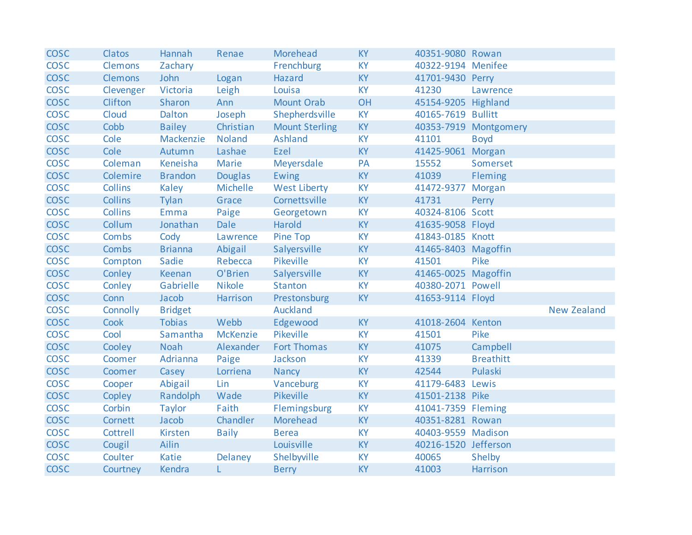| <b>COSC</b> | Clatos          | Hannah         | Renae          | Morehead              | <b>KY</b> | 40351-9080 Rowan     |                       |                    |
|-------------|-----------------|----------------|----------------|-----------------------|-----------|----------------------|-----------------------|--------------------|
| <b>COSC</b> | <b>Clemons</b>  | Zachary        |                | Frenchburg            | <b>KY</b> | 40322-9194 Menifee   |                       |                    |
| <b>COSC</b> | <b>Clemons</b>  | John           | Logan          | Hazard                | <b>KY</b> | 41701-9430 Perry     |                       |                    |
| <b>COSC</b> | Clevenger       | Victoria       | Leigh          | Louisa                | <b>KY</b> | 41230                | Lawrence              |                    |
| <b>COSC</b> | Clifton         | Sharon         | Ann            | <b>Mount Orab</b>     | OH        | 45154-9205 Highland  |                       |                    |
| <b>COSC</b> | Cloud           | Dalton         | Joseph         | Shepherdsville        | <b>KY</b> | 40165-7619 Bullitt   |                       |                    |
| <b>COSC</b> | Cobb            | <b>Bailey</b>  | Christian      | <b>Mount Sterling</b> | <b>KY</b> |                      | 40353-7919 Montgomery |                    |
| <b>COSC</b> | Cole            | Mackenzie      | <b>Noland</b>  | Ashland               | <b>KY</b> | 41101                | <b>Boyd</b>           |                    |
| <b>COSC</b> | Cole            | Autumn         | Lashae         | Ezel                  | <b>KY</b> | 41425-9061 Morgan    |                       |                    |
| <b>COSC</b> | Coleman         | Keneisha       | Marie          | Meyersdale            | PA        | 15552                | Somerset              |                    |
| <b>COSC</b> | Colemire        | <b>Brandon</b> | <b>Douglas</b> | Ewing                 | <b>KY</b> | 41039                | Fleming               |                    |
| <b>COSC</b> | <b>Collins</b>  | Kaley          | Michelle       | <b>West Liberty</b>   | <b>KY</b> | 41472-9377           | Morgan                |                    |
| <b>COSC</b> | <b>Collins</b>  | Tylan          | Grace          | Cornettsville         | <b>KY</b> | 41731                | Perry                 |                    |
| <b>COSC</b> | <b>Collins</b>  | Emma           | Paige          | Georgetown            | <b>KY</b> | 40324-8106 Scott     |                       |                    |
| <b>COSC</b> | Collum          | Jonathan       | <b>Dale</b>    | Harold                | KY        | 41635-9058 Floyd     |                       |                    |
| <b>COSC</b> | Combs           | Cody           | Lawrence       | Pine Top              | <b>KY</b> | 41843-0185 Knott     |                       |                    |
| <b>COSC</b> | <b>Combs</b>    | <b>Brianna</b> | Abigail        | Salyersville          | <b>KY</b> | 41465-8403 Magoffin  |                       |                    |
| <b>COSC</b> | Compton         | Sadie          | Rebecca        | Pikeville             | <b>KY</b> | 41501                | Pike                  |                    |
| <b>COSC</b> | Conley          | Keenan         | O'Brien        | Salyersville          | <b>KY</b> | 41465-0025 Magoffin  |                       |                    |
| <b>COSC</b> | Conley          | Gabrielle      | <b>Nikole</b>  | <b>Stanton</b>        | <b>KY</b> | 40380-2071 Powell    |                       |                    |
| <b>COSC</b> | Conn            | Jacob          | Harrison       | Prestonsburg          | <b>KY</b> | 41653-9114 Floyd     |                       |                    |
| <b>COSC</b> | <b>Connolly</b> | <b>Bridget</b> |                | Auckland              |           |                      |                       | <b>New Zealand</b> |
| <b>COSC</b> | Cook            | <b>Tobias</b>  | Webb           | Edgewood              | <b>KY</b> | 41018-2604 Kenton    |                       |                    |
| <b>COSC</b> | Cool            | Samantha       | McKenzie       | Pikeville             | <b>KY</b> | 41501                | Pike                  |                    |
| <b>COSC</b> | Cooley          | <b>Noah</b>    | Alexander      | <b>Fort Thomas</b>    | <b>KY</b> | 41075                | Campbell              |                    |
| <b>COSC</b> | Coomer          | Adrianna       | Paige          | Jackson               | <b>KY</b> | 41339                | <b>Breathitt</b>      |                    |
| <b>COSC</b> | Coomer          | Casey          | Lorriena       | Nancy                 | <b>KY</b> | 42544                | Pulaski               |                    |
| <b>COSC</b> | Cooper          | Abigail        | Lin            | Vanceburg             | KY        | 41179-6483 Lewis     |                       |                    |
| <b>COSC</b> | Copley          | Randolph       | Wade           | Pikeville             | <b>KY</b> | 41501-2138 Pike      |                       |                    |
| <b>COSC</b> | Corbin          | <b>Taylor</b>  | Faith          | Flemingsburg          | <b>KY</b> | 41041-7359 Fleming   |                       |                    |
| <b>COSC</b> | Cornett         | Jacob          | Chandler       | Morehead              | <b>KY</b> | 40351-8281 Rowan     |                       |                    |
| <b>COSC</b> | Cottrell        | Kirsten        | <b>Baily</b>   | <b>Berea</b>          | <b>KY</b> | 40403-9559 Madison   |                       |                    |
| <b>COSC</b> | Cougil          | Ailin          |                | Louisville            | <b>KY</b> | 40216-1520 Jefferson |                       |                    |
| <b>COSC</b> | Coulter         | Katie          | <b>Delaney</b> | Shelbyville           | <b>KY</b> | 40065                | Shelby                |                    |
| <b>COSC</b> | Courtney        | Kendra         | L.             | <b>Berry</b>          | <b>KY</b> | 41003                | <b>Harrison</b>       |                    |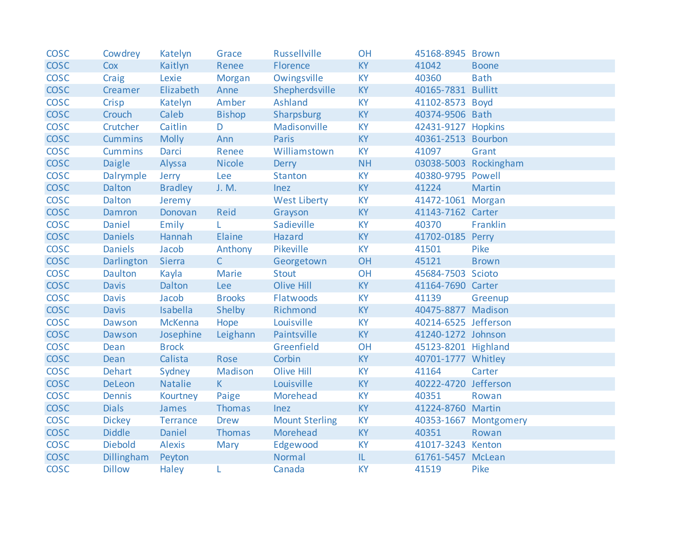| <b>COSC</b> | Cowdrey        | Katelyn        | Grace         | <b>Russellville</b>   | <b>OH</b> | 45168-8945 Brown     |                       |
|-------------|----------------|----------------|---------------|-----------------------|-----------|----------------------|-----------------------|
| <b>COSC</b> | Cox            | Kaitlyn        | Renee         | Florence              | <b>KY</b> | 41042                | <b>Boone</b>          |
| <b>COSC</b> | Craig          | Lexie          | Morgan        | Owingsville           | <b>KY</b> | 40360                | <b>Bath</b>           |
| <b>COSC</b> | Creamer        | Elizabeth      | Anne          | Shepherdsville        | <b>KY</b> | 40165-7831 Bullitt   |                       |
| <b>COSC</b> | Crisp          | Katelyn        | Amber         | Ashland               | <b>KY</b> | 41102-8573 Boyd      |                       |
| <b>COSC</b> | Crouch         | Caleb          | <b>Bishop</b> | Sharpsburg            | <b>KY</b> | 40374-9506 Bath      |                       |
| <b>COSC</b> | Crutcher       | Caitlin        | D             | Madisonville          | <b>KY</b> | 42431-9127 Hopkins   |                       |
| <b>COSC</b> | <b>Cummins</b> | <b>Molly</b>   | Ann           | Paris                 | <b>KY</b> | 40361-2513 Bourbon   |                       |
| <b>COSC</b> | <b>Cummins</b> | Darci          | Renee         | Williamstown          | <b>KY</b> | 41097                | Grant                 |
| <b>COSC</b> | <b>Daigle</b>  | Alyssa         | <b>Nicole</b> | <b>Derry</b>          | <b>NH</b> |                      | 03038-5003 Rockingham |
| <b>COSC</b> | Dalrymple      | Jerry          | Lee           | <b>Stanton</b>        | <b>KY</b> | 40380-9795 Powell    |                       |
| <b>COSC</b> | Dalton         | <b>Bradley</b> | J. M.         | Inez                  | <b>KY</b> | 41224                | Martin                |
| <b>COSC</b> | Dalton         | Jeremy         |               | <b>West Liberty</b>   | <b>KY</b> | 41472-1061 Morgan    |                       |
| <b>COSC</b> | Damron         | Donovan        | Reid          | Grayson               | <b>KY</b> | 41143-7162 Carter    |                       |
| <b>COSC</b> | Daniel         | Emily          | L.            | Sadieville            | <b>KY</b> | 40370                | Franklin              |
| <b>COSC</b> | <b>Daniels</b> | Hannah         | Elaine        | Hazard                | <b>KY</b> | 41702-0185 Perry     |                       |
| <b>COSC</b> | <b>Daniels</b> | Jacob          | Anthony       | Pikeville             | <b>KY</b> | 41501                | Pike                  |
| <b>COSC</b> | Darlington     | Sierra         | $\mathsf{C}$  | Georgetown            | OH        | 45121                | <b>Brown</b>          |
| <b>COSC</b> | Daulton        | Kayla          | Marie         | <b>Stout</b>          | OH        | 45684-7503 Scioto    |                       |
| <b>COSC</b> | <b>Davis</b>   | Dalton         | Lee           | Olive Hill            | <b>KY</b> | 41164-7690 Carter    |                       |
| <b>COSC</b> | <b>Davis</b>   | Jacob          | <b>Brooks</b> | Flatwoods             | <b>KY</b> | 41139                | Greenup               |
| <b>COSC</b> | <b>Davis</b>   | Isabella       | Shelby        | Richmond              | <b>KY</b> | 40475-8877 Madison   |                       |
| <b>COSC</b> | Dawson         | McKenna        | Hope          | Louisville            | <b>KY</b> | 40214-6525 Jefferson |                       |
| <b>COSC</b> | Dawson         | Josephine      | Leighann      | Paintsville           | <b>KY</b> | 41240-1272 Johnson   |                       |
| <b>COSC</b> | Dean           | <b>Brock</b>   |               | Greenfield            | OH        | 45123-8201 Highland  |                       |
| <b>COSC</b> | Dean           | Calista        | Rose          | Corbin                | <b>KY</b> | 40701-1777 Whitley   |                       |
| <b>COSC</b> | <b>Dehart</b>  | Sydney         | Madison       | <b>Olive Hill</b>     | <b>KY</b> | 41164                | Carter                |
| <b>COSC</b> | <b>DeLeon</b>  | <b>Natalie</b> | $K -$         | Louisville            | <b>KY</b> | 40222-4720 Jefferson |                       |
| <b>COSC</b> | Dennis         | Kourtney       | Paige         | Morehead              | <b>KY</b> | 40351                | Rowan                 |
| <b>COSC</b> | <b>Dials</b>   | James          | Thomas        | Inez                  | <b>KY</b> | 41224-8760 Martin    |                       |
| <b>COSC</b> | <b>Dickey</b>  | Terrance       | <b>Drew</b>   | <b>Mount Sterling</b> | <b>KY</b> |                      | 40353-1667 Montgomery |
| <b>COSC</b> | <b>Diddle</b>  | Daniel         | Thomas        | Morehead              | <b>KY</b> | 40351                | Rowan                 |
| <b>COSC</b> | <b>Diebold</b> | <b>Alexis</b>  | Mary          | Edgewood              | <b>KY</b> | 41017-3243 Kenton    |                       |
| <b>COSC</b> | Dillingham     | Peyton         |               | Normal                | IL        | 61761-5457 McLean    |                       |
| <b>COSC</b> | <b>Dillow</b>  | <b>Haley</b>   | L             | Canada                | <b>KY</b> | 41519                | Pike                  |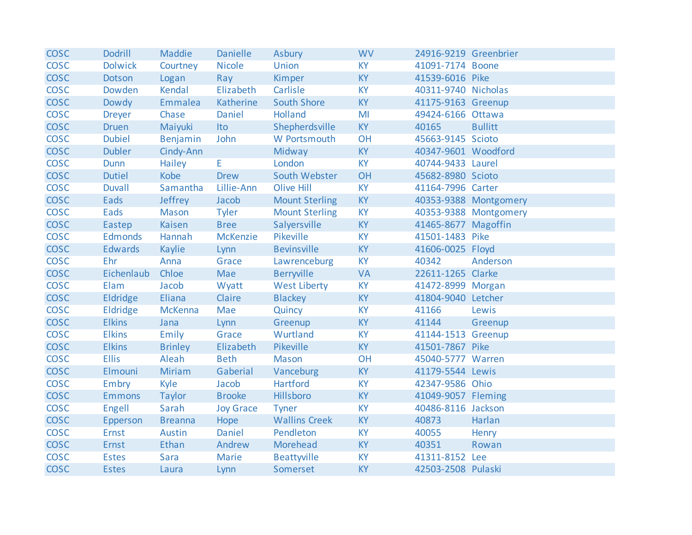| <b>COSC</b> | <b>Dodrill</b> | Maddie         | <b>Danielle</b>  | Asbury                | <b>WV</b> | 24916-9219 Greenbrier |                       |
|-------------|----------------|----------------|------------------|-----------------------|-----------|-----------------------|-----------------------|
| <b>COSC</b> | <b>Dolwick</b> | Courtney       | <b>Nicole</b>    | Union                 | <b>KY</b> | 41091-7174 Boone      |                       |
| <b>COSC</b> | Dotson         | Logan          | Ray              | Kimper                | <b>KY</b> | 41539-6016 Pike       |                       |
| <b>COSC</b> | Dowden         | Kendal         | Elizabeth        | Carlisle              | <b>KY</b> | 40311-9740 Nicholas   |                       |
| <b>COSC</b> | Dowdy          | Emmalea        | Katherine        | <b>South Shore</b>    | <b>KY</b> | 41175-9163 Greenup    |                       |
| <b>COSC</b> | <b>Dreyer</b>  | Chase          | Daniel           | Holland               | MI        | 49424-6166 Ottawa     |                       |
| <b>COSC</b> | <b>Druen</b>   | Maiyuki        | Ito              | Shepherdsville        | <b>KY</b> | 40165                 | <b>Bullitt</b>        |
| <b>COSC</b> | <b>Dubiel</b>  | Benjamin       | John             | W Portsmouth          | OH        | 45663-9145 Scioto     |                       |
| <b>COSC</b> | <b>Dubler</b>  | Cindy-Ann      |                  | Midway                | <b>KY</b> | 40347-9601 Woodford   |                       |
| <b>COSC</b> | <b>Dunn</b>    | Hailey         | E.               | London                | <b>KY</b> | 40744-9433 Laurel     |                       |
| <b>COSC</b> | <b>Dutiel</b>  | Kobe           | <b>Drew</b>      | South Webster         | OH        | 45682-8980 Scioto     |                       |
| <b>COSC</b> | <b>Duvall</b>  | Samantha       | Lillie-Ann       | <b>Olive Hill</b>     | <b>KY</b> | 41164-7996 Carter     |                       |
| <b>COSC</b> | Eads           | Jeffrey        | Jacob            | <b>Mount Sterling</b> | <b>KY</b> |                       | 40353-9388 Montgomery |
| <b>COSC</b> | Eads           | <b>Mason</b>   | <b>Tyler</b>     | <b>Mount Sterling</b> | <b>KY</b> |                       | 40353-9388 Montgomery |
| <b>COSC</b> | Eastep         | Kaisen         | <b>Bree</b>      | Salyersville          | <b>KY</b> | 41465-8677 Magoffin   |                       |
| <b>COSC</b> | Edmonds        | Hannah         | <b>McKenzie</b>  | Pikeville             | <b>KY</b> | 41501-1483 Pike       |                       |
| <b>COSC</b> | <b>Edwards</b> | Kaylie         | Lynn             | <b>Bevinsville</b>    | <b>KY</b> | 41606-0025 Floyd      |                       |
| <b>COSC</b> | Ehr            | Anna           | Grace            | Lawrenceburg          | <b>KY</b> | 40342                 | Anderson              |
| <b>COSC</b> | Eichenlaub     | Chloe          | Mae              | <b>Berryville</b>     | <b>VA</b> | 22611-1265 Clarke     |                       |
| <b>COSC</b> | Elam           | Jacob          | Wyatt            | <b>West Liberty</b>   | <b>KY</b> | 41472-8999 Morgan     |                       |
| <b>COSC</b> | Eldridge       | Eliana         | Claire           | Blackey               | KY        | 41804-9040 Letcher    |                       |
| <b>COSC</b> | Eldridge       | <b>McKenna</b> | Mae              | Quincy                | <b>KY</b> | 41166                 | Lewis                 |
| <b>COSC</b> | <b>Elkins</b>  | Jana           | Lynn             | Greenup               | <b>KY</b> | 41144                 | Greenup               |
| <b>COSC</b> | <b>Elkins</b>  | Emily          | Grace            | Wurtland              | <b>KY</b> | 41144-1513 Greenup    |                       |
| <b>COSC</b> | <b>Elkins</b>  | <b>Brinley</b> | Elizabeth        | <b>Pikeville</b>      | <b>KY</b> | 41501-7867 Pike       |                       |
| <b>COSC</b> | <b>Ellis</b>   | Aleah          | <b>Beth</b>      | <b>Mason</b>          | OH        | 45040-5777 Warren     |                       |
| <b>COSC</b> | Elmouni        | Miriam         | Gaberial         | Vanceburg             | <b>KY</b> | 41179-5544 Lewis      |                       |
| <b>COSC</b> | Embry          | Kyle           | Jacob            | Hartford              | <b>KY</b> | 42347-9586 Ohio       |                       |
| <b>COSC</b> | <b>Emmons</b>  | <b>Taylor</b>  | <b>Brooke</b>    | Hillsboro             | <b>KY</b> | 41049-9057 Fleming    |                       |
| <b>COSC</b> | Engell         | Sarah          | <b>Joy Grace</b> | <b>Tyner</b>          | <b>KY</b> | 40486-8116 Jackson    |                       |
| <b>COSC</b> | Epperson       | <b>Breanna</b> | Hope             | <b>Wallins Creek</b>  | <b>KY</b> | 40873                 | Harlan                |
| <b>COSC</b> | Ernst          | Austin         | Daniel           | Pendleton             | <b>KY</b> | 40055                 | Henry                 |
| <b>COSC</b> | Ernst          | Ethan          | Andrew           | Morehead              | <b>KY</b> | 40351                 | Rowan                 |
| <b>COSC</b> | <b>Estes</b>   | Sara           | Marie            | Beattyville           | <b>KY</b> | 41311-8152 Lee        |                       |
| <b>COSC</b> | <b>Estes</b>   | Laura          | Lynn             | Somerset              | <b>KY</b> | 42503-2508 Pulaski    |                       |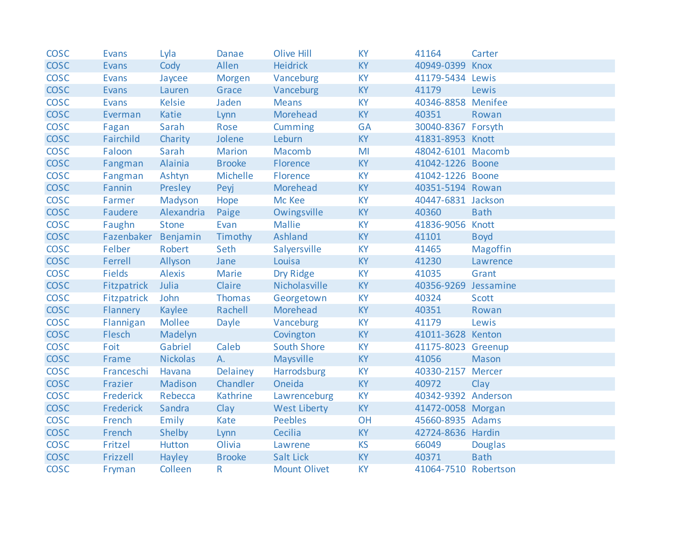| <b>COSC</b> | <b>Evans</b>        | Lyla            | Danae         | <b>Olive Hill</b>   | <b>KY</b> | 41164                | Carter          |
|-------------|---------------------|-----------------|---------------|---------------------|-----------|----------------------|-----------------|
| <b>COSC</b> | <b>Evans</b>        | Cody            | Allen         | <b>Heidrick</b>     | <b>KY</b> | 40949-0399           | Knox            |
| <b>COSC</b> | <b>Evans</b>        | Jaycee          | Morgen        | Vanceburg           | <b>KY</b> | 41179-5434 Lewis     |                 |
| <b>COSC</b> | Evans               | Lauren          | Grace         | Vanceburg           | <b>KY</b> | 41179                | Lewis           |
| <b>COSC</b> | <b>Evans</b>        | <b>Kelsie</b>   | Jaden         | <b>Means</b>        | <b>KY</b> | 40346-8858 Menifee   |                 |
| <b>COSC</b> | Everman             | Katie           | Lynn          | Morehead            | <b>KY</b> | 40351                | Rowan           |
| <b>COSC</b> | Fagan               | Sarah           | Rose          | Cumming             | <b>GA</b> | 30040-8367 Forsyth   |                 |
| <b>COSC</b> | Fairchild           | Charity         | Jolene        | Leburn              | <b>KY</b> | 41831-8953 Knott     |                 |
| <b>COSC</b> | Faloon              | Sarah           | <b>Marion</b> | Macomb              | MI        | 48042-6101 Macomb    |                 |
| <b>COSC</b> | Fangman             | Alainia         | <b>Brooke</b> | Florence            | <b>KY</b> | 41042-1226 Boone     |                 |
| <b>COSC</b> | Fangman             | Ashtyn          | Michelle      | Florence            | <b>KY</b> | 41042-1226 Boone     |                 |
| <b>COSC</b> | Fannin              | Presley         | Peyj          | Morehead            | <b>KY</b> | 40351-5194 Rowan     |                 |
| <b>COSC</b> | Farmer              | Madyson         | Hope          | Mc Kee              | <b>KY</b> | 40447-6831 Jackson   |                 |
| <b>COSC</b> | Faudere             | Alexandria      | Paige         | Owingsville         | <b>KY</b> | 40360                | <b>Bath</b>     |
| <b>COSC</b> | Faughn              | <b>Stone</b>    | Evan          | <b>Mallie</b>       | <b>KY</b> | 41836-9056 Knott     |                 |
| <b>COSC</b> | Fazenbaker Benjamin |                 | Timothy       | Ashland             | <b>KY</b> | 41101                | <b>Boyd</b>     |
| <b>COSC</b> | Felber              | Robert          | Seth          | Salyersville        | <b>KY</b> | 41465                | <b>Magoffin</b> |
| <b>COSC</b> | Ferrell             | Allyson         | Jane          | Louisa              | <b>KY</b> | 41230                | Lawrence        |
| <b>COSC</b> | <b>Fields</b>       | <b>Alexis</b>   | Marie         | Dry Ridge           | <b>KY</b> | 41035                | Grant           |
| <b>COSC</b> | Fitzpatrick         | Julia           | Claire        | Nicholasville       | <b>KY</b> | 40356-9269 Jessamine |                 |
| <b>COSC</b> | Fitzpatrick         | John            | Thomas        | Georgetown          | <b>KY</b> | 40324                | <b>Scott</b>    |
| <b>COSC</b> | Flannery            | Kaylee          | Rachell       | Morehead            | <b>KY</b> | 40351                | Rowan           |
| <b>COSC</b> | Flannigan           | <b>Mollee</b>   | Dayle         | Vanceburg           | <b>KY</b> | 41179                | Lewis           |
| <b>COSC</b> | Flesch              | Madelyn         |               | Covington           | <b>KY</b> | 41011-3628 Kenton    |                 |
| <b>COSC</b> | Foit                | Gabriel         | Caleb         | <b>South Shore</b>  | <b>KY</b> | 41175-8023 Greenup   |                 |
| <b>COSC</b> | Frame               | <b>Nickolas</b> | A.            | Maysville           | <b>KY</b> | 41056                | Mason           |
| <b>COSC</b> | Franceschi          | Havana          | Delainey      | <b>Harrodsburg</b>  | <b>KY</b> | 40330-2157 Mercer    |                 |
| <b>COSC</b> | Frazier             | Madison         | Chandler      | Oneida              | <b>KY</b> | 40972                | Clay            |
| <b>COSC</b> | Frederick           | Rebecca         | Kathrine      | Lawrenceburg        | <b>KY</b> | 40342-9392 Anderson  |                 |
| <b>COSC</b> | Frederick           | Sandra          | Clay          | <b>West Liberty</b> | <b>KY</b> | 41472-0058 Morgan    |                 |
| <b>COSC</b> | French              | Emily           | Kate          | <b>Peebles</b>      | OH        | 45660-8935 Adams     |                 |
| <b>COSC</b> | French              | Shelby          | Lynn          | Cecilia             | <b>KY</b> | 42724-8636 Hardin    |                 |
| <b>COSC</b> | Fritzel             | Hutton          | Olivia        | Lawrene             | <b>KS</b> | 66049                | <b>Douglas</b>  |
| <b>COSC</b> | Frizzell            | Hayley          | <b>Brooke</b> | <b>Salt Lick</b>    | <b>KY</b> | 40371                | <b>Bath</b>     |
| <b>COSC</b> | Fryman              | Colleen         | $\mathsf{R}$  | <b>Mount Olivet</b> | <b>KY</b> | 41064-7510 Robertson |                 |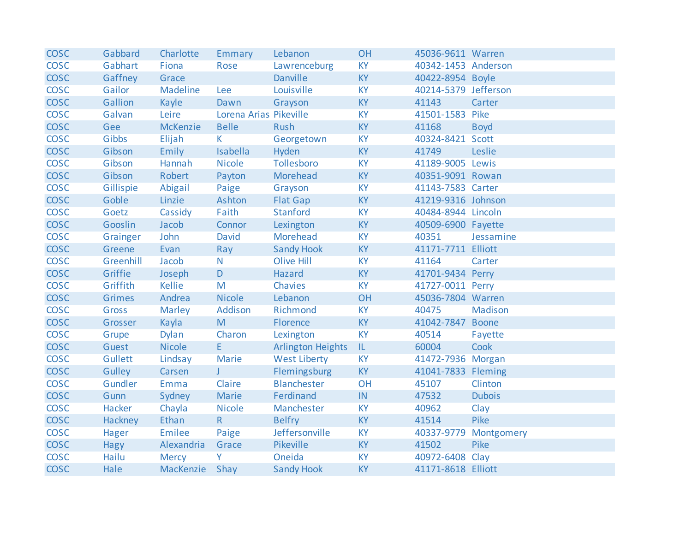| <b>COSC</b> | Gabbard       | Charlotte       | Emmary                 | Lebanon                  | <b>OH</b>                         | 45036-9611 Warren    |                |
|-------------|---------------|-----------------|------------------------|--------------------------|-----------------------------------|----------------------|----------------|
| <b>COSC</b> | Gabhart       | Fiona           | Rose                   | Lawrenceburg             | <b>KY</b>                         | 40342-1453 Anderson  |                |
| <b>COSC</b> | Gaffney       | Grace           |                        | <b>Danville</b>          | <b>KY</b>                         | 40422-8954 Boyle     |                |
| <b>COSC</b> | Gailor        | Madeline        | Lee                    | Louisville               | <b>KY</b>                         | 40214-5379 Jefferson |                |
| <b>COSC</b> | Gallion       | Kayle           | Dawn                   | Grayson                  | <b>KY</b>                         | 41143                | Carter         |
| <b>COSC</b> | Galvan        | Leire           | Lorena Arias Pikeville |                          | <b>KY</b>                         | 41501-1583 Pike      |                |
| <b>COSC</b> | Gee           | <b>McKenzie</b> | <b>Belle</b>           | Rush                     | <b>KY</b>                         | 41168                | <b>Boyd</b>    |
| <b>COSC</b> | Gibbs         | Elijah          | $K_{\parallel}$        | Georgetown               | <b>KY</b>                         | 40324-8421 Scott     |                |
| <b>COSC</b> | Gibson        | Emily           | Isabella               | Hyden                    | <b>KY</b>                         | 41749                | Leslie         |
| <b>COSC</b> | Gibson        | Hannah          | <b>Nicole</b>          | Tollesboro               | <b>KY</b>                         | 41189-9005 Lewis     |                |
| <b>COSC</b> | Gibson        | Robert          | Payton                 | Morehead                 | <b>KY</b>                         | 40351-9091 Rowan     |                |
| <b>COSC</b> | Gillispie     | Abigail         | Paige                  | Grayson                  | <b>KY</b>                         | 41143-7583 Carter    |                |
| <b>COSC</b> | Goble         | Linzie          | Ashton                 | <b>Flat Gap</b>          | <b>KY</b>                         | 41219-9316 Johnson   |                |
| <b>COSC</b> | Goetz         | Cassidy         | Faith                  | Stanford                 | <b>KY</b>                         | 40484-8944 Lincoln   |                |
| <b>COSC</b> | Gooslin       | Jacob           | Connor                 | Lexington                | <b>KY</b>                         | 40509-6900 Fayette   |                |
| <b>COSC</b> | Grainger      | John            | David                  | Morehead                 | <b>KY</b>                         | 40351                | Jessamine      |
| <b>COSC</b> | Greene        | Evan            | Ray                    | <b>Sandy Hook</b>        | <b>KY</b>                         | 41171-7711 Elliott   |                |
| <b>COSC</b> | Greenhill     | Jacob           | N                      | <b>Olive Hill</b>        | <b>KY</b>                         | 41164                | Carter         |
| <b>COSC</b> | Griffie       | Joseph          | D.                     | Hazard                   | <b>KY</b>                         | 41701-9434 Perry     |                |
| <b>COSC</b> | Griffith      | Kellie          | M                      | Chavies                  | <b>KY</b>                         | 41727-0011 Perry     |                |
| <b>COSC</b> | <b>Grimes</b> | Andrea          | <b>Nicole</b>          | Lebanon                  | OH                                | 45036-7804 Warren    |                |
| <b>COSC</b> | Gross         | Marley          | Addison                | Richmond                 | <b>KY</b>                         | 40475                | <b>Madison</b> |
| <b>COSC</b> | Grosser       | Kayla           | M                      | Florence                 | <b>KY</b>                         | 41042-7847 Boone     |                |
| <b>COSC</b> | Grupe         | Dylan           | Charon                 | Lexington                | <b>KY</b>                         | 40514                | Fayette        |
| <b>COSC</b> | Guest         | <b>Nicole</b>   | E.                     | <b>Arlington Heights</b> | $\ensuremath{\mathsf{IL}}\xspace$ | 60004                | Cook           |
| <b>COSC</b> | Gullett       | Lindsay         | Marie                  | <b>West Liberty</b>      | <b>KY</b>                         | 41472-7936 Morgan    |                |
| <b>COSC</b> | Gulley        | Carsen          | $J =$                  | Flemingsburg             | <b>KY</b>                         | 41041-7833 Fleming   |                |
| <b>COSC</b> | Gundler       | Emma            | Claire                 | Blanchester              | OH                                | 45107                | Clinton        |
| <b>COSC</b> | Gunn          | Sydney          | Marie                  | Ferdinand                | IN                                | 47532                | <b>Dubois</b>  |
| <b>COSC</b> | Hacker        | Chayla          | <b>Nicole</b>          | Manchester               | <b>KY</b>                         | 40962                | Clay           |
| <b>COSC</b> | Hackney       | Ethan           | $R_{\parallel}$        | <b>Belfry</b>            | <b>KY</b>                         | 41514                | Pike           |
| <b>COSC</b> | Hager         | Emilee          | Paige                  | Jeffersonville           | <b>KY</b>                         | 40337-9779           | Montgomery     |
| <b>COSC</b> | Hagy          | Alexandria      | Grace                  | Pikeville                | <b>KY</b>                         | 41502                | Pike           |
| <b>COSC</b> | Hailu         | <b>Mercy</b>    | Y                      | Oneida                   | <b>KY</b>                         | 40972-6408 Clay      |                |
| <b>COSC</b> | Hale          | MacKenzie       | Shay                   | <b>Sandy Hook</b>        | <b>KY</b>                         | 41171-8618 Elliott   |                |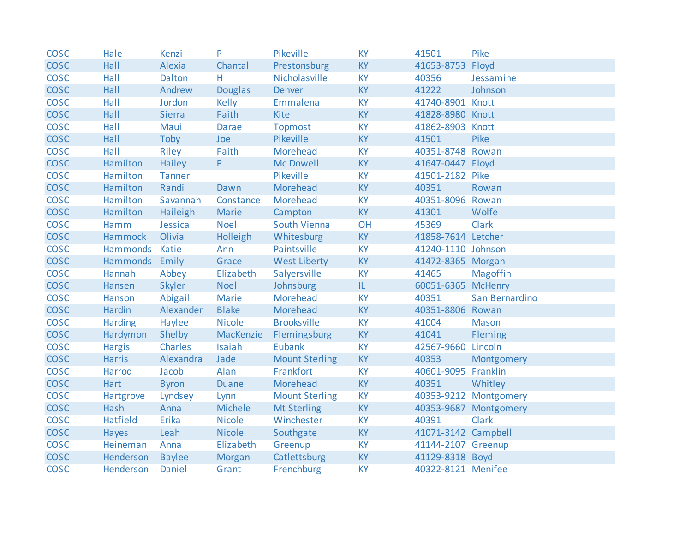| <b>COSC</b> | Hale           | Kenzi         | P              | Pikeville             | <b>KY</b> | 41501               | Pike                  |
|-------------|----------------|---------------|----------------|-----------------------|-----------|---------------------|-----------------------|
| <b>COSC</b> | Hall           | <b>Alexia</b> | Chantal        | Prestonsburg          | <b>KY</b> | 41653-8753          | Floyd                 |
| <b>COSC</b> | Hall           | <b>Dalton</b> | Н.             | Nicholasville         | <b>KY</b> | 40356               | Jessamine             |
| <b>COSC</b> | Hall           | Andrew        | <b>Douglas</b> | <b>Denver</b>         | <b>KY</b> | 41222               | Johnson               |
| <b>COSC</b> | Hall           | Jordon        | Kelly          | Emmalena              | <b>KY</b> | 41740-8901 Knott    |                       |
| <b>COSC</b> | Hall           | <b>Sierra</b> | Faith          | <b>Kite</b>           | <b>KY</b> | 41828-8980 Knott    |                       |
| <b>COSC</b> | Hall           | Maui          | <b>Darae</b>   | <b>Topmost</b>        | <b>KY</b> | 41862-8903 Knott    |                       |
| <b>COSC</b> | Hall           | Toby          | Joe            | Pikeville             | <b>KY</b> | 41501               | Pike                  |
| <b>COSC</b> | Hall           | Riley         | Faith          | Morehead              | <b>KY</b> | 40351-8748 Rowan    |                       |
| <b>COSC</b> | Hamilton       | Hailey        | P.             | Mc Dowell             | KY        | 41647-0447 Floyd    |                       |
| <b>COSC</b> | Hamilton       | <b>Tanner</b> |                | Pikeville             | <b>KY</b> | 41501-2182 Pike     |                       |
| <b>COSC</b> | Hamilton       | Randi         | Dawn           | Morehead              | <b>KY</b> | 40351               | Rowan                 |
| <b>COSC</b> | Hamilton       | Savannah      | Constance      | Morehead              | KY        | 40351-8096 Rowan    |                       |
| <b>COSC</b> | Hamilton       | Haileigh      | <b>Marie</b>   | Campton               | <b>KY</b> | 41301               | Wolfe                 |
| <b>COSC</b> | Hamm           | Jessica       | <b>Noel</b>    | South Vienna          | OH        | 45369               | <b>Clark</b>          |
| <b>COSC</b> | Hammock        | Olivia        | Holleigh       | Whitesburg            | <b>KY</b> | 41858-7614 Letcher  |                       |
| <b>COSC</b> | Hammonds Katie |               | Ann            | Paintsville           | <b>KY</b> | 41240-1110 Johnson  |                       |
| <b>COSC</b> | Hammonds Emily |               | Grace          | <b>West Liberty</b>   | <b>KY</b> | 41472-8365 Morgan   |                       |
| <b>COSC</b> | Hannah         | Abbey         | Elizabeth      | Salyersville          | <b>KY</b> | 41465               | <b>Magoffin</b>       |
| <b>COSC</b> | Hansen         | Skyler        | <b>Noel</b>    | Johnsburg             | IL.       | 60051-6365 McHenry  |                       |
| <b>COSC</b> | Hanson         | Abigail       | Marie          | Morehead              | <b>KY</b> | 40351               | San Bernardino        |
| <b>COSC</b> | Hardin         | Alexander     | <b>Blake</b>   | Morehead              | <b>KY</b> | 40351-8806 Rowan    |                       |
| <b>COSC</b> | <b>Harding</b> | Haylee        | <b>Nicole</b>  | <b>Brooksville</b>    | <b>KY</b> | 41004               | <b>Mason</b>          |
| <b>COSC</b> | Hardymon       | Shelby        | MacKenzie      | Flemingsburg          | <b>KY</b> | 41041               | Fleming               |
| <b>COSC</b> | <b>Hargis</b>  | Charles       | Isaiah         | <b>Eubank</b>         | <b>KY</b> | 42567-9660          | Lincoln               |
| <b>COSC</b> | <b>Harris</b>  | Alexandra     | Jade           | <b>Mount Sterling</b> | <b>KY</b> | 40353               | Montgomery            |
| <b>COSC</b> | Harrod         | Jacob         | Alan           | Frankfort             | KY        | 40601-9095 Franklin |                       |
| <b>COSC</b> | Hart           | <b>Byron</b>  | <b>Duane</b>   | Morehead              | <b>KY</b> | 40351               | Whitley               |
| <b>COSC</b> | Hartgrove      | Lyndsey       | Lynn           | <b>Mount Sterling</b> | <b>KY</b> |                     | 40353-9212 Montgomery |
| <b>COSC</b> | Hash           | Anna          | Michele        | <b>Mt Sterling</b>    | <b>KY</b> |                     | 40353-9687 Montgomery |
| <b>COSC</b> | Hatfield       | Erika         | <b>Nicole</b>  | Winchester            | <b>KY</b> | 40391               | <b>Clark</b>          |
| <b>COSC</b> | Hayes          | Leah          | <b>Nicole</b>  | Southgate             | <b>KY</b> | 41071-3142 Campbell |                       |
| <b>COSC</b> | Heineman       | Anna          | Elizabeth      | Greenup               | <b>KY</b> | 41144-2107 Greenup  |                       |
| <b>COSC</b> | Henderson      | <b>Baylee</b> | Morgan         | Catlettsburg          | KY        | 41129-8318 Boyd     |                       |
| <b>COSC</b> | Henderson      | Daniel        | Grant          | Frenchburg            | <b>KY</b> | 40322-8121 Menifee  |                       |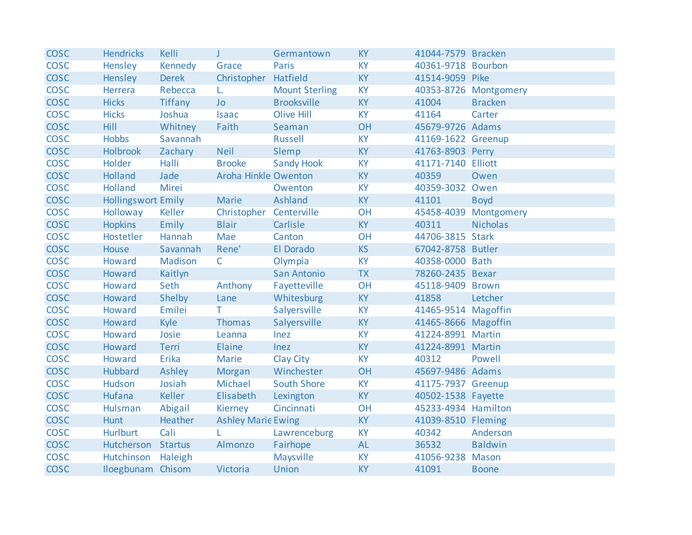| <b>COSC</b> | <b>Hendricks</b>          | Kelli          | J.                        | Germantown            | <b>KY</b> | 41044-7579 Bracken  |                       |
|-------------|---------------------------|----------------|---------------------------|-----------------------|-----------|---------------------|-----------------------|
| <b>COSC</b> | Hensley                   | Kennedy        | Grace                     | <b>Paris</b>          | <b>KY</b> | 40361-9718 Bourbon  |                       |
| <b>COSC</b> | Hensley                   | Derek          | Christopher               | Hatfield              | <b>KY</b> | 41514-9059 Pike     |                       |
| <b>COSC</b> | Herrera                   | Rebecca        | L.                        | <b>Mount Sterling</b> | <b>KY</b> |                     | 40353-8726 Montgomery |
| <b>COSC</b> | <b>Hicks</b>              | <b>Tiffany</b> | <b>Jo</b>                 | <b>Brooksville</b>    | <b>KY</b> | 41004               | <b>Bracken</b>        |
| <b>COSC</b> | <b>Hicks</b>              | Joshua         | <b>Isaac</b>              | <b>Olive Hill</b>     | <b>KY</b> | 41164               | Carter                |
| <b>COSC</b> | Hill                      | Whitney        | Faith                     | Seaman                | OH        | 45679-9726 Adams    |                       |
| <b>COSC</b> | <b>Hobbs</b>              | Savannah       |                           | <b>Russell</b>        | <b>KY</b> | 41169-1622 Greenup  |                       |
| <b>COSC</b> | <b>Holbrook</b>           | Zachary        | <b>Neil</b>               | Slemp                 | <b>KY</b> | 41763-8903 Perry    |                       |
| <b>COSC</b> | Holder                    | Halli          | <b>Brooke</b>             | <b>Sandy Hook</b>     | <b>KY</b> | 41171-7140 Elliott  |                       |
| <b>COSC</b> | Holland                   | Jade           | Aroha Hinkle Owenton      |                       | <b>KY</b> | 40359               | Owen                  |
| <b>COSC</b> | Holland                   | Mirei          |                           | Owenton               | <b>KY</b> | 40359-3032 Owen     |                       |
| <b>COSC</b> | <b>Hollingswort Emily</b> |                | Marie                     | Ashland               | <b>KY</b> | 41101               | <b>Boyd</b>           |
| <b>COSC</b> | Holloway                  | Keller         | Christopher Centerville   |                       | OH        |                     | 45458-4039 Montgomery |
| <b>COSC</b> | <b>Hopkins</b>            | Emily          | <b>Blair</b>              | Carlisle              | <b>KY</b> | 40311               | <b>Nicholas</b>       |
| <b>COSC</b> | Hostetler                 | Hannah         | Mae                       | Canton                | <b>OH</b> | 44706-3815 Stark    |                       |
| <b>COSC</b> | House                     | Savannah       | Rene'                     | El Dorado             | <b>KS</b> | 67042-8758 Butler   |                       |
| <b>COSC</b> | Howard                    | Madison        | $\mathsf{C}$              | Olympia               | <b>KY</b> | 40358-0000 Bath     |                       |
| <b>COSC</b> | Howard                    | Kaitlyn        |                           | San Antonio           | <b>TX</b> | 78260-2435 Bexar    |                       |
| <b>COSC</b> | Howard                    | Seth           | Anthony                   | Fayetteville          | OH        | 45118-9409 Brown    |                       |
| <b>COSC</b> | Howard                    | Shelby         | Lane                      | Whitesburg            | <b>KY</b> | 41858               | Letcher               |
| <b>COSC</b> | Howard                    | Emilei         | T.                        | Salyersville          | <b>KY</b> | 41465-9514 Magoffin |                       |
| <b>COSC</b> | Howard                    | Kyle           | Thomas                    | Salyersville          | <b>KY</b> | 41465-8666 Magoffin |                       |
| <b>COSC</b> | Howard                    | Josie          | Leanna                    | Inez                  | <b>KY</b> | 41224-8991 Martin   |                       |
| <b>COSC</b> | Howard                    | Terri          | Elaine                    | Inez                  | <b>KY</b> | 41224-8991 Martin   |                       |
| <b>COSC</b> | Howard                    | Erika          | Marie                     | Clay City             | <b>KY</b> | 40312               | Powell                |
| <b>COSC</b> | Hubbard                   | Ashley         | Morgan                    | Winchester            | OH        | 45697-9486 Adams    |                       |
| <b>COSC</b> | Hudson                    | Josiah         | Michael                   | <b>South Shore</b>    | <b>KY</b> | 41175-7937 Greenup  |                       |
| <b>COSC</b> | Hufana                    | Keller         | Elisabeth                 | Lexington             | <b>KY</b> | 40502-1538 Fayette  |                       |
| <b>COSC</b> | Hulsman                   | Abigail        | Kierney                   | Cincinnati            | OH        | 45233-4934 Hamilton |                       |
| <b>COSC</b> | <b>Hunt</b>               | Heather        | <b>Ashley Marie Ewing</b> |                       | <b>KY</b> | 41039-8510 Fleming  |                       |
| <b>COSC</b> | <b>Hurlburt</b>           | Cali           |                           | Lawrenceburg          | <b>KY</b> | 40342               | Anderson              |
| <b>COSC</b> | Hutcherson Startus        |                | Almonzo                   | Fairhope              | <b>AL</b> | 36532               | <b>Baldwin</b>        |
| <b>COSC</b> | Hutchinson Haleigh        |                |                           | Maysville             | <b>KY</b> | 41056-9238 Mason    |                       |
| <b>COSC</b> | Iloegbunam Chisom         |                | Victoria                  | <b>Union</b>          | <b>KY</b> | 41091               | <b>Boone</b>          |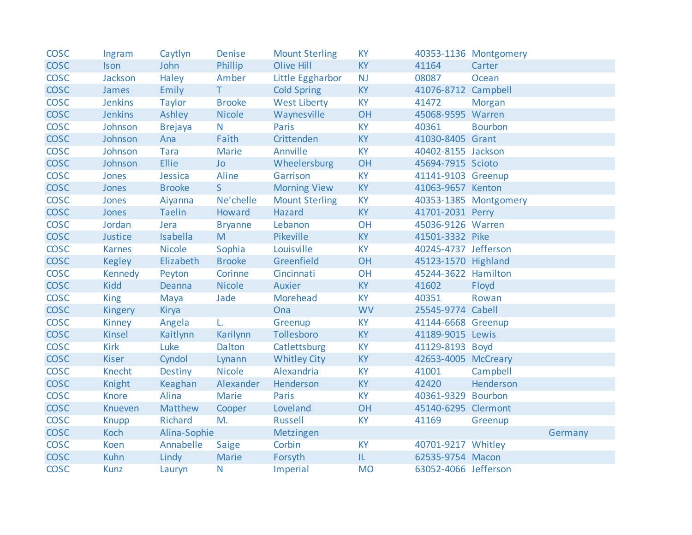| <b>COSC</b> | Ingram         | Caytlyn        | Denise         | <b>Mount Sterling</b> | <b>KY</b> |                      | 40353-1136 Montgomery |         |
|-------------|----------------|----------------|----------------|-----------------------|-----------|----------------------|-----------------------|---------|
| <b>COSC</b> | <b>Ison</b>    | John           | Phillip        | <b>Olive Hill</b>     | <b>KY</b> | 41164                | Carter                |         |
| <b>COSC</b> | Jackson        | Haley          | Amber          | Little Eggharbor      | <b>NJ</b> | 08087                | Ocean                 |         |
| <b>COSC</b> | James          | Emily          | T              | <b>Cold Spring</b>    | <b>KY</b> | 41076-8712 Campbell  |                       |         |
| <b>COSC</b> | <b>Jenkins</b> | <b>Taylor</b>  | <b>Brooke</b>  | <b>West Liberty</b>   | <b>KY</b> | 41472                | Morgan                |         |
| <b>COSC</b> | <b>Jenkins</b> | Ashley         | <b>Nicole</b>  | Waynesville           | OH        | 45068-9595 Warren    |                       |         |
| <b>COSC</b> | Johnson        | <b>Brejaya</b> | N.             | Paris                 | <b>KY</b> | 40361                | <b>Bourbon</b>        |         |
| <b>COSC</b> | Johnson        | Ana            | Faith          | Crittenden            | <b>KY</b> | 41030-8405 Grant     |                       |         |
| <b>COSC</b> | Johnson        | Tara           | Marie          | Annville              | <b>KY</b> | 40402-8155 Jackson   |                       |         |
| <b>COSC</b> | Johnson        | <b>Ellie</b>   | <b>Jo</b>      | Wheelersburg          | OH        | 45694-7915 Scioto    |                       |         |
| <b>COSC</b> | Jones          | Jessica        | Aline          | Garrison              | <b>KY</b> | 41141-9103 Greenup   |                       |         |
| <b>COSC</b> | Jones          | <b>Brooke</b>  | S              | <b>Morning View</b>   | <b>KY</b> | 41063-9657 Kenton    |                       |         |
| <b>COSC</b> | Jones          | Aiyanna        | Ne'chelle      | <b>Mount Sterling</b> | <b>KY</b> |                      | 40353-1385 Montgomery |         |
| <b>COSC</b> | Jones          | <b>Taelin</b>  | Howard         | Hazard                | <b>KY</b> | 41701-2031 Perry     |                       |         |
| <b>COSC</b> | Jordan         | Jera           | <b>Bryanne</b> | Lebanon               | OH        | 45036-9126 Warren    |                       |         |
| <b>COSC</b> | Justice        | Isabella       | M              | <b>Pikeville</b>      | <b>KY</b> | 41501-3332 Pike      |                       |         |
| <b>COSC</b> | <b>Karnes</b>  | <b>Nicole</b>  | Sophia         | Louisville            | <b>KY</b> | 40245-4737 Jefferson |                       |         |
| <b>COSC</b> | <b>Kegley</b>  | Elizabeth      | <b>Brooke</b>  | Greenfield            | OH        | 45123-1570 Highland  |                       |         |
| <b>COSC</b> | Kennedy        | Peyton         | Corinne        | Cincinnati            | OH        | 45244-3622 Hamilton  |                       |         |
| <b>COSC</b> | Kidd           | Deanna         | <b>Nicole</b>  | Auxier                | <b>KY</b> | 41602                | Floyd                 |         |
| <b>COSC</b> | <b>King</b>    | Maya           | Jade           | Morehead              | <b>KY</b> | 40351                | Rowan                 |         |
| <b>COSC</b> | Kingery        | Kirya          |                | Ona                   | <b>WV</b> | 25545-9774 Cabell    |                       |         |
| <b>COSC</b> | Kinney         | Angela         | L.             | Greenup               | <b>KY</b> | 41144-6668 Greenup   |                       |         |
| <b>COSC</b> | <b>Kinsel</b>  | Kaitlynn       | Karilynn       | Tollesboro            | <b>KY</b> | 41189-9015 Lewis     |                       |         |
| <b>COSC</b> | <b>Kirk</b>    | Luke           | Dalton         | Catlettsburg          | <b>KY</b> | 41129-8193 Boyd      |                       |         |
| <b>COSC</b> | <b>Kiser</b>   | Cyndol         | Lynann         | <b>Whitley City</b>   | <b>KY</b> | 42653-4005 McCreary  |                       |         |
| <b>COSC</b> | Knecht         | Destiny        | <b>Nicole</b>  | Alexandria            | <b>KY</b> | 41001                | Campbell              |         |
| <b>COSC</b> | Knight         | Keaghan        | Alexander      | Henderson             | <b>KY</b> | 42420                | Henderson             |         |
| <b>COSC</b> | <b>Knore</b>   | Alina          | Marie          | Paris                 | <b>KY</b> | 40361-9329 Bourbon   |                       |         |
| <b>COSC</b> | Knueven        | Matthew        | Cooper         | Loveland              | OH        | 45140-6295 Clermont  |                       |         |
| <b>COSC</b> | <b>Knupp</b>   | Richard        | M.             | Russell               | <b>KY</b> | 41169                | Greenup               |         |
| <b>COSC</b> | Koch           | Alina-Sophie   |                | Metzingen             |           |                      |                       | Germany |
| <b>COSC</b> | Koen           | Annabelle      | Saige          | Corbin                | <b>KY</b> | 40701-9217 Whitley   |                       |         |
| <b>COSC</b> | <b>Kuhn</b>    | Lindy          | Marie          | Forsyth               | IL        | 62535-9754 Macon     |                       |         |
| <b>COSC</b> | <b>Kunz</b>    | Lauryn         | N              | Imperial              | <b>MO</b> | 63052-4066 Jefferson |                       |         |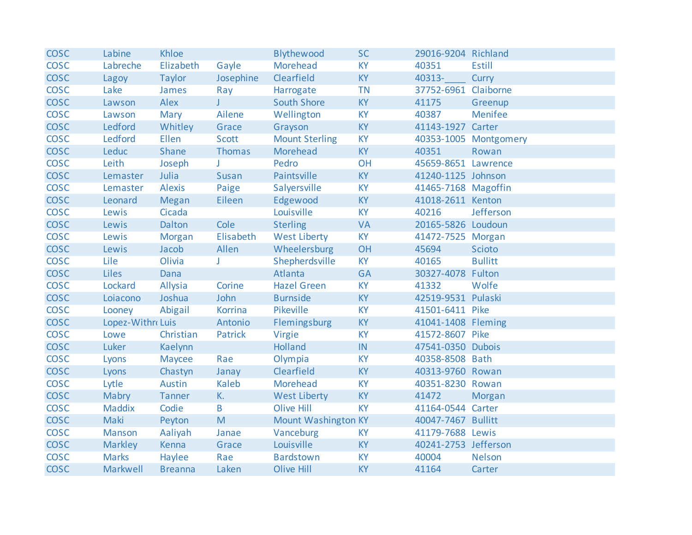| <b>COSC</b> | Labine            | Khloe          |              | Blythewood            | <b>SC</b> | 29016-9204 Richland  |                       |
|-------------|-------------------|----------------|--------------|-----------------------|-----------|----------------------|-----------------------|
| <b>COSC</b> | Labreche          | Elizabeth      | Gayle        | Morehead              | <b>KY</b> | 40351                | <b>Estill</b>         |
| <b>COSC</b> | Lagoy             | <b>Taylor</b>  | Josephine    | Clearfield            | <b>KY</b> | 40313-               | Curry                 |
| <b>COSC</b> | Lake              | James          | Ray          | Harrogate             | <b>TN</b> | 37752-6961           | Claiborne             |
| <b>COSC</b> | Lawson            | Alex           | $J$ and $J$  | <b>South Shore</b>    | <b>KY</b> | 41175                | Greenup               |
| <b>COSC</b> | Lawson            | Mary           | Ailene       | Wellington            | <b>KY</b> | 40387                | Menifee               |
| <b>COSC</b> | Ledford           | Whitley        | Grace        | Grayson               | KY        | 41143-1927 Carter    |                       |
| <b>COSC</b> | Ledford           | <b>Ellen</b>   | Scott        | <b>Mount Sterling</b> | <b>KY</b> |                      | 40353-1005 Montgomery |
| <b>COSC</b> | Leduc             | Shane          | Thomas       | Morehead              | <b>KY</b> | 40351                | Rowan                 |
| <b>COSC</b> | Leith             | Joseph         | J            | Pedro                 | OH        | 45659-8651 Lawrence  |                       |
| <b>COSC</b> | Lemaster          | Julia          | Susan        | Paintsville           | <b>KY</b> | 41240-1125 Johnson   |                       |
| <b>COSC</b> | Lemaster          | <b>Alexis</b>  | Paige        | Salyersville          | <b>KY</b> | 41465-7168 Magoffin  |                       |
| <b>COSC</b> | Leonard           | <b>Megan</b>   | Eileen       | Edgewood              | <b>KY</b> | 41018-2611 Kenton    |                       |
| <b>COSC</b> | Lewis             | Cicada         |              | Louisville            | <b>KY</b> | 40216                | Jefferson             |
| <b>COSC</b> | Lewis             | Dalton         | Cole         | <b>Sterling</b>       | <b>VA</b> | 20165-5826 Loudoun   |                       |
| <b>COSC</b> | Lewis             | Morgan         | Elisabeth    | <b>West Liberty</b>   | <b>KY</b> | 41472-7525 Morgan    |                       |
| <b>COSC</b> | Lewis             | Jacob          | Allen        | Wheelersburg          | OH        | 45694                | Scioto                |
| <b>COSC</b> | Lile              | Olivia         | J            | Shepherdsville        | <b>KY</b> | 40165                | <b>Bullitt</b>        |
| <b>COSC</b> | <b>Liles</b>      | Dana           |              | Atlanta               | <b>GA</b> | 30327-4078 Fulton    |                       |
| <b>COSC</b> | Lockard           | Allysia        | Corine       | <b>Hazel Green</b>    | <b>KY</b> | 41332                | Wolfe                 |
| <b>COSC</b> | Loiacono          | Joshua         | John         | <b>Burnside</b>       | <b>KY</b> | 42519-9531 Pulaski   |                       |
| <b>COSC</b> | Looney            | Abigail        | Korrina      | Pikeville             | <b>KY</b> | 41501-6411 Pike      |                       |
| <b>COSC</b> | Lopez-Withro Luis |                | Antonio      | Flemingsburg          | <b>KY</b> | 41041-1408 Fleming   |                       |
| <b>COSC</b> | Lowe              | Christian      | Patrick      | Virgie                | <b>KY</b> | 41572-8607 Pike      |                       |
| <b>COSC</b> | Luker             | Kaelynn        |              | Holland               | IN.       | 47541-0350 Dubois    |                       |
| <b>COSC</b> | Lyons             | Maycee         | Rae          | Olympia               | <b>KY</b> | 40358-8508 Bath      |                       |
| <b>COSC</b> | Lyons             | Chastyn        | Janay        | Clearfield            | <b>KY</b> | 40313-9760 Rowan     |                       |
| <b>COSC</b> | Lytle             | Austin         | Kaleb        | Morehead              | <b>KY</b> | 40351-8230 Rowan     |                       |
| <b>COSC</b> | Mabry             | <b>Tanner</b>  | K.           | <b>West Liberty</b>   | <b>KY</b> | 41472                | Morgan                |
| <b>COSC</b> | <b>Maddix</b>     | Codie          | $\mathsf{B}$ | <b>Olive Hill</b>     | <b>KY</b> | 41164-0544 Carter    |                       |
| <b>COSC</b> | Maki              | Peyton         | M            | Mount Washington KY   |           | 40047-7467 Bullitt   |                       |
| <b>COSC</b> | Manson            | Aaliyah        | Janae        | Vanceburg             | <b>KY</b> | 41179-7688 Lewis     |                       |
| <b>COSC</b> | <b>Markley</b>    | Kenna          | Grace        | Louisville            | <b>KY</b> | 40241-2753 Jefferson |                       |
| <b>COSC</b> | <b>Marks</b>      | Haylee         | Rae          | <b>Bardstown</b>      | <b>KY</b> | 40004                | <b>Nelson</b>         |
| <b>COSC</b> | Markwell          | <b>Breanna</b> | Laken        | <b>Olive Hill</b>     | <b>KY</b> | 41164                | Carter                |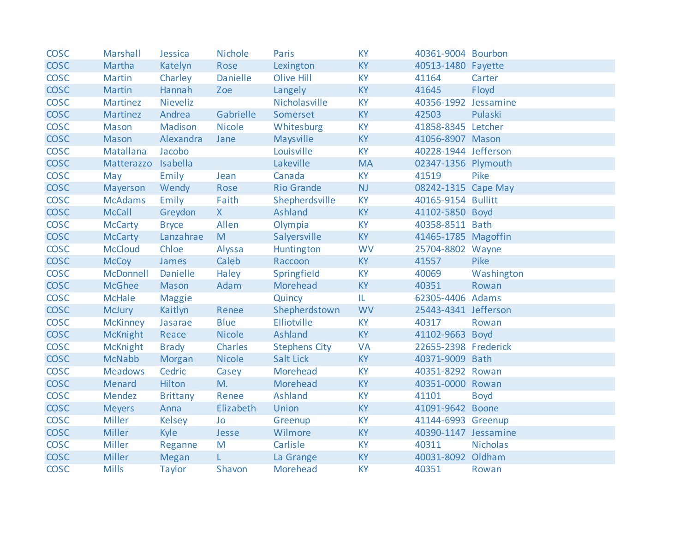| <b>COSC</b> | Marshall            | Jessica         | <b>Nichole</b>  | Paris                | <b>KY</b> | 40361-9004 Bourbon   |                 |
|-------------|---------------------|-----------------|-----------------|----------------------|-----------|----------------------|-----------------|
| <b>COSC</b> | Martha              | Katelyn         | Rose            | Lexington            | <b>KY</b> | 40513-1480 Fayette   |                 |
| <b>COSC</b> | Martin              | Charley         | <b>Danielle</b> | Olive Hill           | <b>KY</b> | 41164                | Carter          |
| <b>COSC</b> | <b>Martin</b>       | Hannah          | Zoe             | Langely              | <b>KY</b> | 41645                | Floyd           |
| <b>COSC</b> | Martinez            | Nieveliz        |                 | Nicholasville        | <b>KY</b> | 40356-1992 Jessamine |                 |
| <b>COSC</b> | Martinez            | Andrea          | Gabrielle       | Somerset             | <b>KY</b> | 42503                | Pulaski         |
| <b>COSC</b> | Mason               | Madison         | <b>Nicole</b>   | Whitesburg           | <b>KY</b> | 41858-8345 Letcher   |                 |
| <b>COSC</b> | Mason               | Alexandra       | Jane            | Maysville            | <b>KY</b> | 41056-8907 Mason     |                 |
| <b>COSC</b> | Matallana           | Jacobo          |                 | Louisville           | <b>KY</b> | 40228-1944 Jefferson |                 |
| <b>COSC</b> | Matterazzo Isabella |                 |                 | Lakeville            | <b>MA</b> | 02347-1356 Plymouth  |                 |
| <b>COSC</b> | May                 | Emily           | Jean            | Canada               | <b>KY</b> | 41519                | Pike            |
| <b>COSC</b> | Mayerson            | Wendy           | Rose            | <b>Rio Grande</b>    | <b>NJ</b> | 08242-1315 Cape May  |                 |
| <b>COSC</b> | <b>McAdams</b>      | Emily           | Faith           | Shepherdsville       | <b>KY</b> | 40165-9154 Bullitt   |                 |
| <b>COSC</b> | <b>McCall</b>       | Greydon         | $X -$           | Ashland              | <b>KY</b> | 41102-5850 Boyd      |                 |
| <b>COSC</b> | <b>McCarty</b>      | <b>Bryce</b>    | Allen           | Olympia              | <b>KY</b> | 40358-8511 Bath      |                 |
| <b>COSC</b> | <b>McCarty</b>      | Lanzahrae       | M               | Salyersville         | <b>KY</b> | 41465-1785 Magoffin  |                 |
| <b>COSC</b> | <b>McCloud</b>      | Chloe           | Alyssa          | Huntington           | <b>WV</b> | 25704-8802 Wayne     |                 |
| <b>COSC</b> | <b>McCoy</b>        | James           | Caleb           | Raccoon              | <b>KY</b> | 41557                | Pike            |
| <b>COSC</b> | McDonnell           | Danielle        | Haley           | Springfield          | <b>KY</b> | 40069                | Washington      |
| <b>COSC</b> | <b>McGhee</b>       | Mason           | Adam            | Morehead             | <b>KY</b> | 40351                | Rowan           |
| <b>COSC</b> | <b>McHale</b>       | <b>Maggie</b>   |                 | Quincy               | IL.       | 62305-4406 Adams     |                 |
| <b>COSC</b> | <b>McJury</b>       | Kaitlyn         | Renee           | Shepherdstown        | <b>WV</b> | 25443-4341 Jefferson |                 |
| <b>COSC</b> | <b>McKinney</b>     | Jasarae         | <b>Blue</b>     | <b>Elliotville</b>   | <b>KY</b> | 40317                | Rowan           |
| <b>COSC</b> | <b>McKnight</b>     | Reace           | <b>Nicole</b>   | Ashland              | <b>KY</b> | 41102-9663 Boyd      |                 |
| <b>COSC</b> | <b>McKnight</b>     | <b>Brady</b>    | Charles         | <b>Stephens City</b> | <b>VA</b> | 22655-2398 Frederick |                 |
| <b>COSC</b> | <b>McNabb</b>       | Morgan          | <b>Nicole</b>   | Salt Lick            | <b>KY</b> | 40371-9009 Bath      |                 |
| <b>COSC</b> | <b>Meadows</b>      | Cedric          | Casey           | Morehead             | <b>KY</b> | 40351-8292 Rowan     |                 |
| <b>COSC</b> | Menard              | Hilton          | M.              | Morehead             | <b>KY</b> | 40351-0000 Rowan     |                 |
| <b>COSC</b> | Mendez              | <b>Brittany</b> | Renee           | Ashland              | <b>KY</b> | 41101                | <b>Boyd</b>     |
| <b>COSC</b> | <b>Meyers</b>       | Anna            | Elizabeth       | <b>Union</b>         | <b>KY</b> | 41091-9642 Boone     |                 |
| <b>COSC</b> | <b>Miller</b>       | Kelsey          | Jo              | Greenup              | <b>KY</b> | 41144-6993 Greenup   |                 |
| <b>COSC</b> | <b>Miller</b>       | Kyle            | Jesse           | Wilmore              | <b>KY</b> | 40390-1147 Jessamine |                 |
| <b>COSC</b> | <b>Miller</b>       | Reganne         | M               | Carlisle             | <b>KY</b> | 40311                | <b>Nicholas</b> |
| <b>COSC</b> | <b>Miller</b>       | Megan           | L.              | La Grange            | <b>KY</b> | 40031-8092 Oldham    |                 |
| <b>COSC</b> | <b>Mills</b>        | <b>Taylor</b>   | Shavon          | <b>Morehead</b>      | <b>KY</b> | 40351                | Rowan           |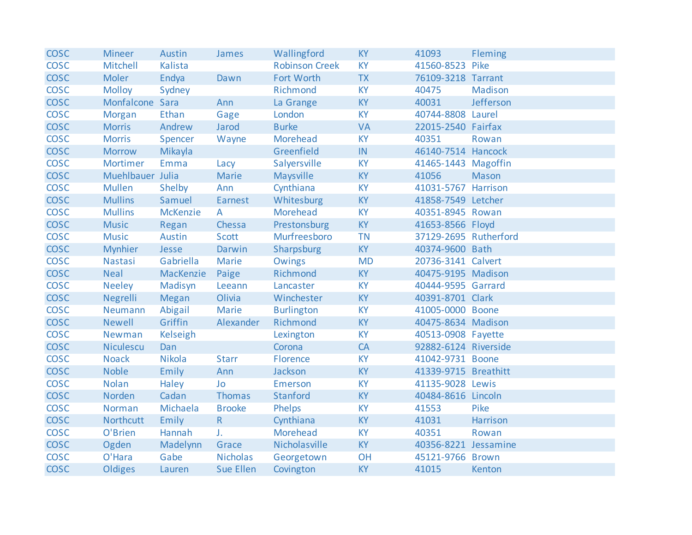| <b>COSC</b> | <b>Mineer</b>    | Austin          | James            | Wallingford           | <b>KY</b> | 41093                 | Fleming      |
|-------------|------------------|-----------------|------------------|-----------------------|-----------|-----------------------|--------------|
| <b>COSC</b> | Mitchell         | Kalista         |                  | <b>Robinson Creek</b> | <b>KY</b> | 41560-8523 Pike       |              |
| <b>COSC</b> | <b>Moler</b>     | Endya           | Dawn             | Fort Worth            | <b>TX</b> | 76109-3218 Tarrant    |              |
| <b>COSC</b> | <b>Molloy</b>    | Sydney          |                  | Richmond              | <b>KY</b> | 40475                 | Madison      |
| <b>COSC</b> | Monfalcone Sara  |                 | Ann              | La Grange             | <b>KY</b> | 40031                 | Jefferson    |
| <b>COSC</b> | Morgan           | Ethan           | Gage             | London                | <b>KY</b> | 40744-8808 Laurel     |              |
| <b>COSC</b> | <b>Morris</b>    | Andrew          | Jarod            | <b>Burke</b>          | <b>VA</b> | 22015-2540 Fairfax    |              |
| <b>COSC</b> | <b>Morris</b>    | Spencer         | Wayne            | Morehead              | <b>KY</b> | 40351                 | Rowan        |
| <b>COSC</b> | <b>Morrow</b>    | Mikayla         |                  | Greenfield            | IN        | 46140-7514 Hancock    |              |
| <b>COSC</b> | Mortimer         | Emma            | Lacy             | Salyersville          | <b>KY</b> | 41465-1443 Magoffin   |              |
| <b>COSC</b> | Muehlbauer Julia |                 | Marie            | Maysville             | <b>KY</b> | 41056                 | <b>Mason</b> |
| <b>COSC</b> | <b>Mullen</b>    | Shelby          | Ann              | Cynthiana             | <b>KY</b> | 41031-5767 Harrison   |              |
| <b>COSC</b> | <b>Mullins</b>   | Samuel          | Earnest          | Whitesburg            | KY        | 41858-7549 Letcher    |              |
| <b>COSC</b> | <b>Mullins</b>   | <b>McKenzie</b> | $\mathsf{A}$     | Morehead              | <b>KY</b> | 40351-8945 Rowan      |              |
| <b>COSC</b> | <b>Music</b>     | Regan           | Chessa           | Prestonsburg          | <b>KY</b> | 41653-8566 Floyd      |              |
| <b>COSC</b> | <b>Music</b>     | Austin          | Scott            | Murfreesboro          | <b>TN</b> | 37129-2695 Rutherford |              |
| <b>COSC</b> | <b>Mynhier</b>   | Jesse           | Darwin           | Sharpsburg            | <b>KY</b> | 40374-9600 Bath       |              |
| <b>COSC</b> | Nastasi          | Gabriella       | Marie            | Owings                | <b>MD</b> | 20736-3141 Calvert    |              |
| <b>COSC</b> | <b>Neal</b>      | MacKenzie       | Paige            | Richmond              | <b>KY</b> | 40475-9195 Madison    |              |
| <b>COSC</b> | <b>Neeley</b>    | Madisyn         | Leeann           | Lancaster             | <b>KY</b> | 40444-9595 Garrard    |              |
| <b>COSC</b> | Negrelli         | Megan           | Olivia           | Winchester            | KY        | 40391-8701 Clark      |              |
| <b>COSC</b> | Neumann          | Abigail         | Marie            | <b>Burlington</b>     | <b>KY</b> | 41005-0000 Boone      |              |
| <b>COSC</b> | <b>Newell</b>    | Griffin         | Alexander        | Richmond              | <b>KY</b> | 40475-8634 Madison    |              |
| <b>COSC</b> | Newman           | Kelseigh        |                  | Lexington             | <b>KY</b> | 40513-0908 Fayette    |              |
| <b>COSC</b> | <b>Niculescu</b> | Dan             |                  | Corona                | CA        | 92882-6124 Riverside  |              |
| <b>COSC</b> | <b>Noack</b>     | Nikola          | <b>Starr</b>     | Florence              | <b>KY</b> | 41042-9731 Boone      |              |
| <b>COSC</b> | <b>Noble</b>     | Emily           | Ann              | Jackson               | <b>KY</b> | 41339-9715 Breathitt  |              |
| <b>COSC</b> | <b>Nolan</b>     | Haley           | Jo               | Emerson               | <b>KY</b> | 41135-9028 Lewis      |              |
| <b>COSC</b> | Norden           | Cadan           | Thomas           | Stanford              | <b>KY</b> | 40484-8616 Lincoln    |              |
| <b>COSC</b> | Norman           | Michaela        | <b>Brooke</b>    | Phelps                | <b>KY</b> | 41553                 | Pike         |
| <b>COSC</b> | Northcutt        | Emily           | R                | Cynthiana             | <b>KY</b> | 41031                 | Harrison     |
| <b>COSC</b> | O'Brien          | Hannah          | J.               | Morehead              | <b>KY</b> | 40351                 | Rowan        |
| <b>COSC</b> | Ogden            | Madelynn        | Grace            | Nicholasville         | <b>KY</b> | 40356-8221 Jessamine  |              |
| <b>COSC</b> | O'Hara           | Gabe            | <b>Nicholas</b>  | Georgetown            | OH        | 45121-9766 Brown      |              |
| <b>COSC</b> | Oldiges          | Lauren          | <b>Sue Ellen</b> | Covington             | <b>KY</b> | 41015                 | Kenton       |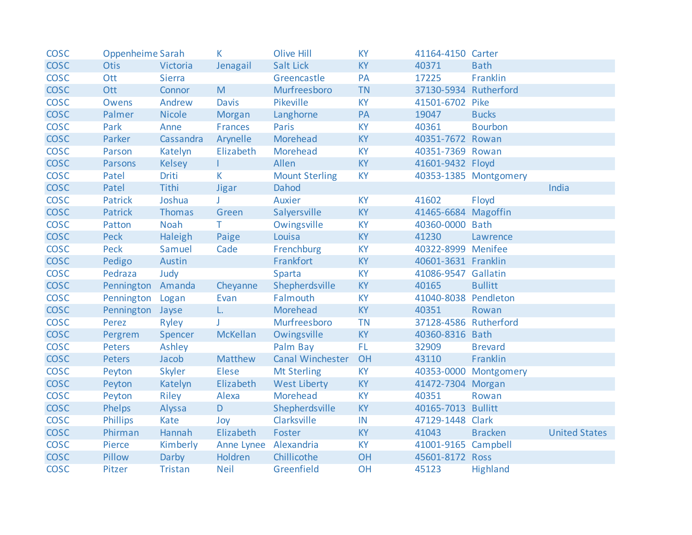| <b>COSC</b> | Oppenheime Sarah  |               | K            | <b>Olive Hill</b>     | <b>KY</b> | 41164-4150 Carter     |                       |                      |
|-------------|-------------------|---------------|--------------|-----------------------|-----------|-----------------------|-----------------------|----------------------|
| <b>COSC</b> | <b>Otis</b>       | Victoria      | Jenagail     | <b>Salt Lick</b>      | <b>KY</b> | 40371                 | <b>Bath</b>           |                      |
| <b>COSC</b> | Ott               | <b>Sierra</b> |              | Greencastle           | PA        | 17225                 | Franklin              |                      |
| <b>COSC</b> | Ott               | Connor        | M            | Murfreesboro          | <b>TN</b> | 37130-5934            | Rutherford            |                      |
| <b>COSC</b> | <b>Owens</b>      | Andrew        | <b>Davis</b> | Pikeville             | <b>KY</b> | 41501-6702            | Pike                  |                      |
| <b>COSC</b> | Palmer            | <b>Nicole</b> | Morgan       | Langhorne             | PA        | 19047                 | <b>Bucks</b>          |                      |
| <b>COSC</b> | Park              | Anne          | Frances      | Paris                 | <b>KY</b> | 40361                 | <b>Bourbon</b>        |                      |
| <b>COSC</b> | Parker            | Cassandra     | Arynelle     | Morehead              | <b>KY</b> | 40351-7672 Rowan      |                       |                      |
| <b>COSC</b> | Parson            | Katelyn       | Elizabeth    | Morehead              | <b>KY</b> | 40351-7369 Rowan      |                       |                      |
| <b>COSC</b> | <b>Parsons</b>    | <b>Kelsey</b> | T.           | Allen                 | <b>KY</b> | 41601-9432 Floyd      |                       |                      |
| <b>COSC</b> | Patel             | Driti         | K            | <b>Mount Sterling</b> | <b>KY</b> |                       | 40353-1385 Montgomery |                      |
| <b>COSC</b> | Patel             | Tithi         | <b>Jigar</b> | Dahod                 |           |                       |                       | India                |
| <b>COSC</b> | <b>Patrick</b>    | Joshua        |              | Auxier                | <b>KY</b> | 41602                 | Floyd                 |                      |
| <b>COSC</b> | <b>Patrick</b>    | Thomas        | Green        | Salyersville          | <b>KY</b> | 41465-6684 Magoffin   |                       |                      |
| <b>COSC</b> | Patton            | Noah          | T.           | Owingsville           | <b>KY</b> | 40360-0000 Bath       |                       |                      |
| <b>COSC</b> | <b>Peck</b>       | Haleigh       | Paige        | Louisa                | <b>KY</b> | 41230                 | Lawrence              |                      |
| <b>COSC</b> | Peck              | Samuel        | Cade         | Frenchburg            | <b>KY</b> | 40322-8999 Menifee    |                       |                      |
| <b>COSC</b> | Pedigo            | Austin        |              | Frankfort             | <b>KY</b> | 40601-3631 Franklin   |                       |                      |
| <b>COSC</b> | Pedraza           | Judy          |              | Sparta                | <b>KY</b> | 41086-9547 Gallatin   |                       |                      |
| <b>COSC</b> | Pennington Amanda |               | Cheyanne     | Shepherdsville        | <b>KY</b> | 40165                 | <b>Bullitt</b>        |                      |
| <b>COSC</b> | Pennington Logan  |               | Evan         | Falmouth              | <b>KY</b> | 41040-8038 Pendleton  |                       |                      |
| <b>COSC</b> | Pennington Jayse  |               | L.           | Morehead              | <b>KY</b> | 40351                 | Rowan                 |                      |
| <b>COSC</b> | Perez             | Ryley         | J.           | Murfreesboro          | <b>TN</b> | 37128-4586 Rutherford |                       |                      |
| <b>COSC</b> | Pergrem           | Spencer       | McKellan     | Owingsville           | <b>KY</b> | 40360-8316 Bath       |                       |                      |
| <b>COSC</b> | <b>Peters</b>     | Ashley        |              | Palm Bay              | FL.       | 32909                 | <b>Brevard</b>        |                      |
| <b>COSC</b> | <b>Peters</b>     | Jacob         | Matthew      | Canal Winchester      | OH        | 43110                 | Franklin              |                      |
| <b>COSC</b> | Peyton            | Skyler        | <b>Elese</b> | Mt Sterling           | <b>KY</b> |                       | 40353-0000 Montgomery |                      |
| <b>COSC</b> | Peyton            | Katelyn       | Elizabeth    | <b>West Liberty</b>   | <b>KY</b> | 41472-7304 Morgan     |                       |                      |
| <b>COSC</b> | Peyton            | Riley         | Alexa        | Morehead              | <b>KY</b> | 40351                 | Rowan                 |                      |
| <b>COSC</b> | Phelps            | Alyssa        | D.           | Shepherdsville        | <b>KY</b> | 40165-7013            | <b>Bullitt</b>        |                      |
| <b>COSC</b> | <b>Phillips</b>   | Kate          | Joy          | Clarksville           | IN        | 47129-1448 Clark      |                       |                      |
| <b>COSC</b> | Phirman           | Hannah        | Elizabeth    | Foster                | <b>KY</b> | 41043                 | <b>Bracken</b>        | <b>United States</b> |
| <b>COSC</b> | Pierce            | Kimberly      | Anne Lynee   | Alexandria            | <b>KY</b> | 41001-9165 Campbell   |                       |                      |
| <b>COSC</b> | Pillow            | Darby         | Holdren      | Chillicothe           | OH        | 45601-8172 Ross       |                       |                      |
| <b>COSC</b> | Pitzer            | Tristan       | <b>Neil</b>  | Greenfield            | OH        | 45123                 | <b>Highland</b>       |                      |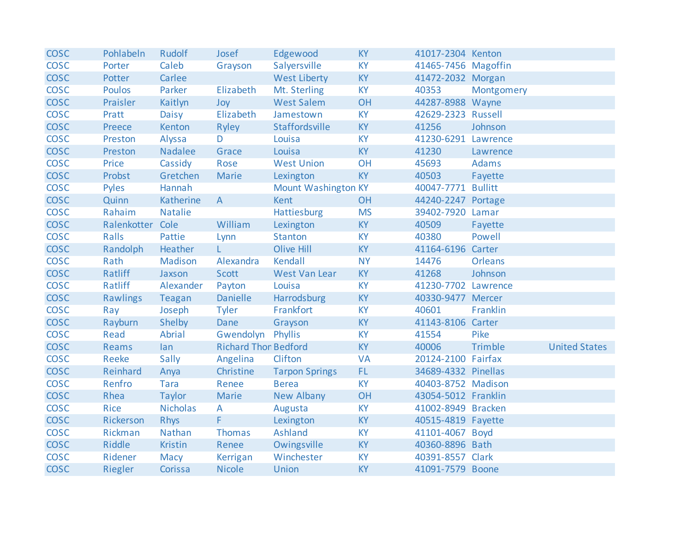| <b>COSC</b> | Pohlabeln        | Rudolf          | Josef                       | Edgewood                   | <b>KY</b> | 41017-2304 Kenton   |                |                      |
|-------------|------------------|-----------------|-----------------------------|----------------------------|-----------|---------------------|----------------|----------------------|
| <b>COSC</b> | Porter           | Caleb           | Grayson                     | Salyersville               | <b>KY</b> | 41465-7456 Magoffin |                |                      |
| <b>COSC</b> | Potter           | Carlee          |                             | <b>West Liberty</b>        | <b>KY</b> | 41472-2032 Morgan   |                |                      |
| <b>COSC</b> | <b>Poulos</b>    | Parker          | Elizabeth                   | Mt. Sterling               | <b>KY</b> | 40353               | Montgomery     |                      |
| <b>COSC</b> | Praisler         | Kaitlyn         | Joy                         | <b>West Salem</b>          | OH        | 44287-8988 Wayne    |                |                      |
| <b>COSC</b> | Pratt            | Daisy           | Elizabeth                   | Jamestown                  | <b>KY</b> | 42629-2323 Russell  |                |                      |
| <b>COSC</b> | Preece           | Kenton          | Ryley                       | Staffordsville             | KY        | 41256               | Johnson        |                      |
| <b>COSC</b> | Preston          | Alyssa          | D                           | Louisa                     | <b>KY</b> | 41230-6291 Lawrence |                |                      |
| <b>COSC</b> | Preston          | Nadalee         | Grace                       | Louisa                     | <b>KY</b> | 41230               | Lawrence       |                      |
| <b>COSC</b> | Price            | Cassidy         | Rose                        | <b>West Union</b>          | OH        | 45693               | Adams          |                      |
| <b>COSC</b> | Probst           | Gretchen        | <b>Marie</b>                | Lexington                  | <b>KY</b> | 40503               | Fayette        |                      |
| <b>COSC</b> | <b>Pyles</b>     | Hannah          |                             | <b>Mount Washington KY</b> |           | 40047-7771 Bullitt  |                |                      |
| <b>COSC</b> | Quinn            | Katherine       | $\mathsf{A}$                | <b>Kent</b>                | OH        | 44240-2247 Portage  |                |                      |
| <b>COSC</b> | Rahaim           | <b>Natalie</b>  |                             | <b>Hattiesburg</b>         | <b>MS</b> | 39402-7920 Lamar    |                |                      |
| <b>COSC</b> | Ralenkotter Cole |                 | William                     | Lexington                  | <b>KY</b> | 40509               | Fayette        |                      |
| <b>COSC</b> | Ralls            | Pattie          | Lynn                        | <b>Stanton</b>             | <b>KY</b> | 40380               | Powell         |                      |
| <b>COSC</b> | Randolph         | Heather         | L.                          | <b>Olive Hill</b>          | <b>KY</b> | 41164-6196 Carter   |                |                      |
| <b>COSC</b> | Rath             | Madison         | Alexandra                   | Kendall                    | <b>NY</b> | 14476               | <b>Orleans</b> |                      |
| <b>COSC</b> | Ratliff          | Jaxson          | Scott                       | West Van Lear              | <b>KY</b> | 41268               | Johnson        |                      |
| <b>COSC</b> | Ratliff          | Alexander       | Payton                      | Louisa                     | <b>KY</b> | 41230-7702 Lawrence |                |                      |
| <b>COSC</b> | <b>Rawlings</b>  | Teagan          | <b>Danielle</b>             | Harrodsburg                | KY        | 40330-9477 Mercer   |                |                      |
| <b>COSC</b> | Ray              | Joseph          | Tyler                       | Frankfort                  | <b>KY</b> | 40601               | Franklin       |                      |
| <b>COSC</b> | Rayburn          | Shelby          | Dane                        | Grayson                    | <b>KY</b> | 41143-8106 Carter   |                |                      |
| <b>COSC</b> | Read             | Abrial          | Gwendolyn                   | Phyllis                    | <b>KY</b> | 41554               | Pike           |                      |
| <b>COSC</b> | Reams            | lan             | <b>Richard Thor Bedford</b> |                            | <b>KY</b> | 40006               | Trimble        | <b>United States</b> |
| <b>COSC</b> | Reeke            | Sally           | Angelina                    | Clifton                    | <b>VA</b> | 20124-2100 Fairfax  |                |                      |
| <b>COSC</b> | Reinhard         | Anya            | Christine                   | <b>Tarpon Springs</b>      | FL.       | 34689-4332 Pinellas |                |                      |
| <b>COSC</b> | Renfro           | <b>Tara</b>     | Renee                       | <b>Berea</b>               | <b>KY</b> | 40403-8752 Madison  |                |                      |
| <b>COSC</b> | Rhea             | <b>Taylor</b>   | Marie                       | New Albany                 | OH        | 43054-5012 Franklin |                |                      |
| <b>COSC</b> | Rice             | <b>Nicholas</b> | $\mathsf{A}$                | Augusta                    | <b>KY</b> | 41002-8949 Bracken  |                |                      |
| <b>COSC</b> | Rickerson        | <b>Rhys</b>     | F.                          | Lexington                  | <b>KY</b> | 40515-4819 Fayette  |                |                      |
| <b>COSC</b> | Rickman          | Nathan          | Thomas                      | Ashland                    | <b>KY</b> | 41101-4067 Boyd     |                |                      |
| <b>COSC</b> | Riddle           | Kristin         | Renee                       | Owingsville                | <b>KY</b> | 40360-8896 Bath     |                |                      |
| <b>COSC</b> | Ridener          | Macy            | Kerrigan                    | Winchester                 | <b>KY</b> | 40391-8557 Clark    |                |                      |
| <b>COSC</b> | Riegler          | Corissa         | <b>Nicole</b>               | <b>Union</b>               | <b>KY</b> | 41091-7579 Boone    |                |                      |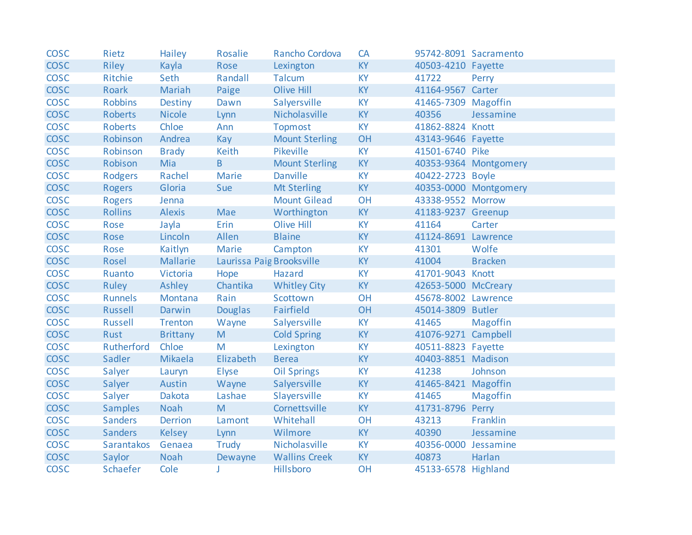| <b>COSC</b> | Rietz          | Hailey          | Rosalie                   | Rancho Cordova        | CA        |                      | 95742-8091 Sacramento |
|-------------|----------------|-----------------|---------------------------|-----------------------|-----------|----------------------|-----------------------|
| <b>COSC</b> | <b>Riley</b>   | Kayla           | Rose                      | Lexington             | <b>KY</b> | 40503-4210 Fayette   |                       |
| <b>COSC</b> | Ritchie        | Seth            | Randall                   | Talcum                | <b>KY</b> | 41722                | Perry                 |
| <b>COSC</b> | Roark          | Mariah          | Paige                     | Olive Hill            | <b>KY</b> | 41164-9567 Carter    |                       |
| <b>COSC</b> | <b>Robbins</b> | Destiny         | Dawn                      | Salyersville          | <b>KY</b> | 41465-7309 Magoffin  |                       |
| <b>COSC</b> | <b>Roberts</b> | <b>Nicole</b>   | Lynn                      | Nicholasville         | <b>KY</b> | 40356                | Jessamine             |
| <b>COSC</b> | Roberts        | Chloe           | Ann                       | <b>Topmost</b>        | <b>KY</b> | 41862-8824 Knott     |                       |
| <b>COSC</b> | Robinson       | Andrea          | Kay                       | <b>Mount Sterling</b> | OH        | 43143-9646 Fayette   |                       |
| <b>COSC</b> | Robinson       | <b>Brady</b>    | Keith                     | Pikeville             | <b>KY</b> | 41501-6740 Pike      |                       |
| <b>COSC</b> | Robison        | Mia             | B                         | <b>Mount Sterling</b> | <b>KY</b> |                      | 40353-9364 Montgomery |
| <b>COSC</b> | <b>Rodgers</b> | Rachel          | <b>Marie</b>              | <b>Danville</b>       | <b>KY</b> | 40422-2723 Boyle     |                       |
| <b>COSC</b> | <b>Rogers</b>  | Gloria          | Sue                       | <b>Mt Sterling</b>    | <b>KY</b> |                      | 40353-0000 Montgomery |
| <b>COSC</b> | <b>Rogers</b>  | Jenna           |                           | <b>Mount Gilead</b>   | OH        | 43338-9552 Morrow    |                       |
| <b>COSC</b> | <b>Rollins</b> | <b>Alexis</b>   | Mae                       | Worthington           | <b>KY</b> | 41183-9237 Greenup   |                       |
| <b>COSC</b> | Rose           | Jayla           | Erin                      | <b>Olive Hill</b>     | <b>KY</b> | 41164                | Carter                |
| <b>COSC</b> | Rose           | Lincoln         | Allen                     | <b>Blaine</b>         | <b>KY</b> | 41124-8691 Lawrence  |                       |
| <b>COSC</b> | Rose           | Kaitlyn         | Marie                     | Campton               | <b>KY</b> | 41301                | Wolfe                 |
| <b>COSC</b> | Rosel          | Mallarie        | Laurissa Paig Brooksville |                       | <b>KY</b> | 41004                | <b>Bracken</b>        |
| <b>COSC</b> | Ruanto         | Victoria        | Hope                      | Hazard                | <b>KY</b> | 41701-9043 Knott     |                       |
| <b>COSC</b> | Ruley          | Ashley          | Chantika                  | <b>Whitley City</b>   | <b>KY</b> | 42653-5000 McCreary  |                       |
| <b>COSC</b> | <b>Runnels</b> | Montana         | Rain                      | Scottown              | OH        | 45678-8002 Lawrence  |                       |
| <b>COSC</b> | Russell        | Darwin          | <b>Douglas</b>            | Fairfield             | OH        | 45014-3809 Butler    |                       |
| <b>COSC</b> | <b>Russell</b> | Trenton         | Wayne                     | Salyersville          | <b>KY</b> | 41465                | Magoffin              |
| <b>COSC</b> | Rust           | <b>Brittany</b> | M                         | <b>Cold Spring</b>    | <b>KY</b> | 41076-9271 Campbell  |                       |
| <b>COSC</b> | Rutherford     | Chloe           | M                         | Lexington             | <b>KY</b> | 40511-8823 Fayette   |                       |
| <b>COSC</b> | Sadler         | Mikaela         | Elizabeth                 | <b>Berea</b>          | <b>KY</b> | 40403-8851 Madison   |                       |
| <b>COSC</b> | Salyer         | Lauryn          | <b>Elyse</b>              | <b>Oil Springs</b>    | <b>KY</b> | 41238                | Johnson               |
| <b>COSC</b> | Salyer         | Austin          | Wayne                     | Salyersville          | <b>KY</b> | 41465-8421 Magoffin  |                       |
| <b>COSC</b> | Salyer         | Dakota          | Lashae                    | Slayersville          | <b>KY</b> | 41465                | <b>Magoffin</b>       |
| <b>COSC</b> | <b>Samples</b> | Noah            | M                         | Cornettsville         | <b>KY</b> | 41731-8796 Perry     |                       |
| <b>COSC</b> | <b>Sanders</b> | <b>Derrion</b>  | Lamont                    | Whitehall             | OH        | 43213                | Franklin              |
| <b>COSC</b> | <b>Sanders</b> | <b>Kelsey</b>   | Lynn                      | Wilmore               | <b>KY</b> | 40390                | Jessamine             |
| <b>COSC</b> | Sarantakos     | Genaea          | Trudy                     | Nicholasville         | <b>KY</b> | 40356-0000 Jessamine |                       |
| <b>COSC</b> | Saylor         | Noah            | Dewayne                   | <b>Wallins Creek</b>  | <b>KY</b> | 40873                | Harlan                |
| <b>COSC</b> | Schaefer       | Cole            | J                         | Hillsboro             | OH        | 45133-6578 Highland  |                       |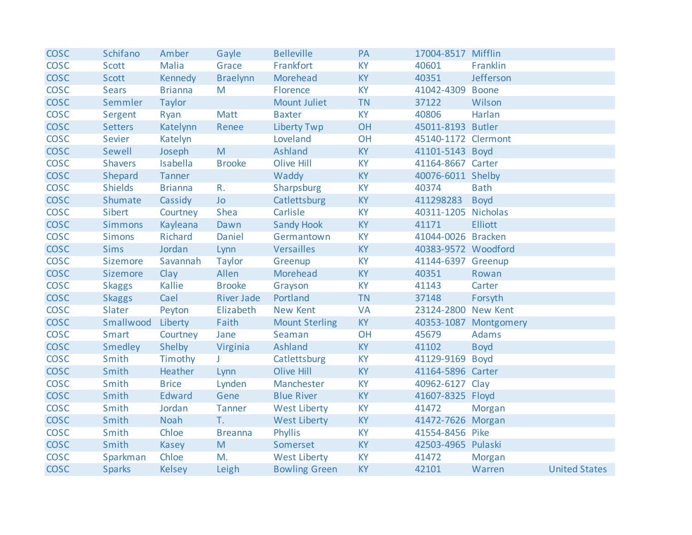| <b>COSC</b> | Schifano       | Amber          | Gayle             | <b>Belleville</b>     | PA        | 17004-8517 Mifflin  |                       |                      |
|-------------|----------------|----------------|-------------------|-----------------------|-----------|---------------------|-----------------------|----------------------|
| <b>COSC</b> | <b>Scott</b>   | <b>Malia</b>   | Grace             | Frankfort             | <b>KY</b> | 40601               | Franklin              |                      |
| <b>COSC</b> | Scott          | Kennedy        | <b>Braelynn</b>   | Morehead              | <b>KY</b> | 40351               | Jefferson             |                      |
| <b>COSC</b> | <b>Sears</b>   | <b>Brianna</b> | M                 | Florence              | <b>KY</b> | 41042-4309 Boone    |                       |                      |
| <b>COSC</b> | Semmler        | Taylor         |                   | <b>Mount Juliet</b>   | <b>TN</b> | 37122               | Wilson                |                      |
| <b>COSC</b> | Sergent        | Ryan           | Matt              | <b>Baxter</b>         | <b>KY</b> | 40806               | Harlan                |                      |
| <b>COSC</b> | <b>Setters</b> | Katelynn       | Renee             | <b>Liberty Twp</b>    | OH        | 45011-8193 Butler   |                       |                      |
| <b>COSC</b> | Sevier         | Katelyn        |                   | Loveland              | OH        | 45140-1172 Clermont |                       |                      |
| <b>COSC</b> | Sewell         | Joseph         | M                 | Ashland               | <b>KY</b> | 41101-5143 Boyd     |                       |                      |
| <b>COSC</b> | <b>Shavers</b> | Isabella       | <b>Brooke</b>     | Olive Hill            | <b>KY</b> | 41164-8667 Carter   |                       |                      |
| <b>COSC</b> | Shepard        | Tanner         |                   | Waddy                 | <b>KY</b> | 40076-6011 Shelby   |                       |                      |
| <b>COSC</b> | <b>Shields</b> | <b>Brianna</b> | R.                | Sharpsburg            | <b>KY</b> | 40374               | <b>Bath</b>           |                      |
| <b>COSC</b> | Shumate        | Cassidy        | Jo                | Catlettsburg          | <b>KY</b> | 411298283           | <b>Boyd</b>           |                      |
| <b>COSC</b> | Sibert         | Courtney       | Shea              | Carlisle              | <b>KY</b> | 40311-1205 Nicholas |                       |                      |
| <b>COSC</b> | <b>Simmons</b> | Kayleana       | Dawn              | <b>Sandy Hook</b>     | KY        | 41171               | <b>Elliott</b>        |                      |
| <b>COSC</b> | <b>Simons</b>  | Richard        | Daniel            | Germantown            | <b>KY</b> | 41044-0026 Bracken  |                       |                      |
| <b>COSC</b> | <b>Sims</b>    | Jordan         | Lynn              | Versailles            | <b>KY</b> | 40383-9572 Woodford |                       |                      |
| <b>COSC</b> | Sizemore       | Savannah       | Taylor            | Greenup               | <b>KY</b> | 41144-6397 Greenup  |                       |                      |
| <b>COSC</b> | Sizemore       | Clay           | Allen             | Morehead              | <b>KY</b> | 40351               | Rowan                 |                      |
| <b>COSC</b> | <b>Skaggs</b>  | Kallie         | <b>Brooke</b>     | Grayson               | <b>KY</b> | 41143               | Carter                |                      |
| <b>COSC</b> | <b>Skaggs</b>  | Cael           | <b>River Jade</b> | Portland              | <b>TN</b> | 37148               | Forsyth               |                      |
| <b>COSC</b> | Slater         | Peyton         | Elizabeth         | <b>New Kent</b>       | <b>VA</b> | 23124-2800 New Kent |                       |                      |
| <b>COSC</b> | Smallwood      | Liberty        | Faith             | <b>Mount Sterling</b> | <b>KY</b> |                     | 40353-1087 Montgomery |                      |
| <b>COSC</b> | <b>Smart</b>   | Courtney       | Jane              | Seaman                | OH        | 45679               | Adams                 |                      |
| <b>COSC</b> | <b>Smedley</b> | Shelby         | Virginia          | Ashland               | <b>KY</b> | 41102               | <b>Boyd</b>           |                      |
| <b>COSC</b> | Smith          | Timothy        | J.                | Catlettsburg          | <b>KY</b> | 41129-9169 Boyd     |                       |                      |
| <b>COSC</b> | Smith          | Heather        | Lynn              | <b>Olive Hill</b>     | <b>KY</b> | 41164-5896 Carter   |                       |                      |
| <b>COSC</b> | Smith          | <b>Brice</b>   | Lynden            | Manchester            | <b>KY</b> | 40962-6127 Clay     |                       |                      |
| <b>COSC</b> | Smith          | Edward         | Gene              | <b>Blue River</b>     | <b>KY</b> | 41607-8325 Floyd    |                       |                      |
| <b>COSC</b> | Smith          | Jordan         | Tanner            | <b>West Liberty</b>   | <b>KY</b> | 41472               | Morgan                |                      |
| <b>COSC</b> | Smith          | Noah           | T.                | <b>West Liberty</b>   | <b>KY</b> | 41472-7626 Morgan   |                       |                      |
| <b>COSC</b> | Smith          | Chloe          | <b>Breanna</b>    | <b>Phyllis</b>        | <b>KY</b> | 41554-8456 Pike     |                       |                      |
| <b>COSC</b> | Smith          | Kasey          | M                 | Somerset              | <b>KY</b> | 42503-4965 Pulaski  |                       |                      |
| <b>COSC</b> | Sparkman       | Chloe          | M.                | <b>West Liberty</b>   | <b>KY</b> | 41472               | <b>Morgan</b>         |                      |
| <b>COSC</b> | <b>Sparks</b>  | <b>Kelsey</b>  | Leigh             | <b>Bowling Green</b>  | KY        | 42101               | Warren                | <b>United States</b> |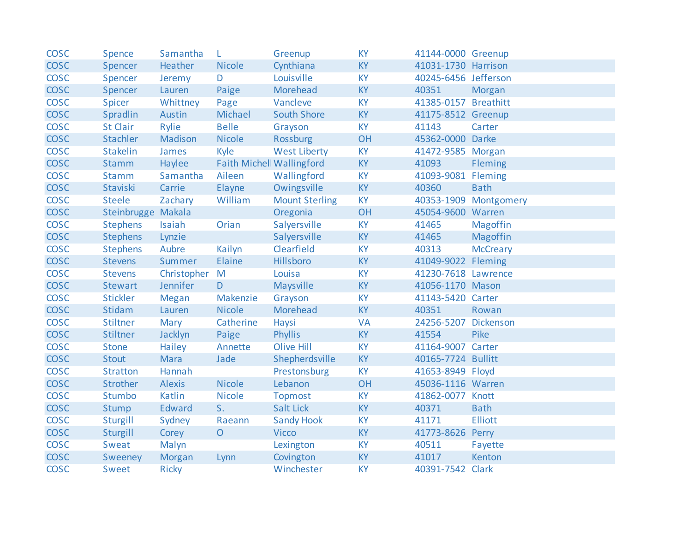| <b>COSC</b> | Spence             | Samantha      | L                                | Greenup               | <b>KY</b> | 41144-0000 Greenup   |                       |
|-------------|--------------------|---------------|----------------------------------|-----------------------|-----------|----------------------|-----------------------|
| <b>COSC</b> | Spencer            | Heather       | <b>Nicole</b>                    | Cynthiana             | <b>KY</b> | 41031-1730 Harrison  |                       |
| <b>COSC</b> | Spencer            | Jeremy        | D                                | Louisville            | <b>KY</b> | 40245-6456 Jefferson |                       |
| <b>COSC</b> | Spencer            | Lauren        | Paige                            | Morehead              | <b>KY</b> | 40351                | Morgan                |
| <b>COSC</b> | Spicer             | Whittney      | Page                             | Vancleve              | <b>KY</b> | 41385-0157 Breathitt |                       |
| <b>COSC</b> | Spradlin           | Austin        | Michael                          | <b>South Shore</b>    | <b>KY</b> | 41175-8512 Greenup   |                       |
| <b>COSC</b> | <b>St Clair</b>    | Rylie         | <b>Belle</b>                     | Grayson               | <b>KY</b> | 41143                | Carter                |
| <b>COSC</b> | <b>Stachler</b>    | Madison       | <b>Nicole</b>                    | <b>Rossburg</b>       | OH        | 45362-0000 Darke     |                       |
| <b>COSC</b> | <b>Stakelin</b>    | James         | Kyle                             | <b>West Liberty</b>   | <b>KY</b> | 41472-9585 Morgan    |                       |
| <b>COSC</b> | <b>Stamm</b>       | Haylee        | <b>Faith Michell Wallingford</b> |                       | <b>KY</b> | 41093                | Fleming               |
| <b>COSC</b> | Stamm              | Samantha      | Aileen                           | Wallingford           | <b>KY</b> | 41093-9081           | Fleming               |
| <b>COSC</b> | Staviski           | Carrie        | Elayne                           | Owingsville           | <b>KY</b> | 40360                | <b>Bath</b>           |
| <b>COSC</b> | <b>Steele</b>      | Zachary       | William                          | <b>Mount Sterling</b> | <b>KY</b> |                      | 40353-1909 Montgomery |
| <b>COSC</b> | Steinbrugge Makala |               |                                  | Oregonia              | OH        | 45054-9600 Warren    |                       |
| <b>COSC</b> | <b>Stephens</b>    | Isaiah        | Orian                            | Salyersville          | <b>KY</b> | 41465                | <b>Magoffin</b>       |
| <b>COSC</b> | <b>Stephens</b>    | Lynzie        |                                  | Salyersville          | <b>KY</b> | 41465                | Magoffin              |
| <b>COSC</b> | <b>Stephens</b>    | Aubre         | Kailyn                           | Clearfield            | <b>KY</b> | 40313                | <b>McCreary</b>       |
| <b>COSC</b> | <b>Stevens</b>     | Summer        | Elaine                           | Hillsboro             | <b>KY</b> | 41049-9022 Fleming   |                       |
| <b>COSC</b> | <b>Stevens</b>     | Christopher M |                                  | Louisa                | <b>KY</b> | 41230-7618 Lawrence  |                       |
| <b>COSC</b> | <b>Stewart</b>     | Jennifer      | D                                | Maysville             | <b>KY</b> | 41056-1170 Mason     |                       |
| <b>COSC</b> | <b>Stickler</b>    | <b>Megan</b>  | Makenzie                         | Grayson               | <b>KY</b> | 41143-5420 Carter    |                       |
| <b>COSC</b> | Stidam             | Lauren        | <b>Nicole</b>                    | Morehead              | <b>KY</b> | 40351                | Rowan                 |
| <b>COSC</b> | <b>Stiltner</b>    | Mary          | Catherine                        | Haysi                 | <b>VA</b> | 24256-5207           | Dickenson             |
| <b>COSC</b> | <b>Stiltner</b>    | Jacklyn       | Paige                            | <b>Phyllis</b>        | <b>KY</b> | 41554                | Pike                  |
| <b>COSC</b> | <b>Stone</b>       | Hailey        | Annette                          | <b>Olive Hill</b>     | <b>KY</b> | 41164-9007 Carter    |                       |
| <b>COSC</b> | <b>Stout</b>       | <b>Mara</b>   | Jade                             | Shepherdsville        | <b>KY</b> | 40165-7724 Bullitt   |                       |
| <b>COSC</b> | <b>Stratton</b>    | Hannah        |                                  | Prestonsburg          | <b>KY</b> | 41653-8949 Floyd     |                       |
| <b>COSC</b> | Strother           | <b>Alexis</b> | <b>Nicole</b>                    | Lebanon               | OH        | 45036-1116 Warren    |                       |
| <b>COSC</b> | Stumbo             | Katlin        | <b>Nicole</b>                    | <b>Topmost</b>        | <b>KY</b> | 41862-0077 Knott     |                       |
| <b>COSC</b> | Stump              | Edward        | S <sub>1</sub>                   | <b>Salt Lick</b>      | <b>KY</b> | 40371                | <b>Bath</b>           |
| <b>COSC</b> | Sturgill           | Sydney        | Raeann                           | <b>Sandy Hook</b>     | <b>KY</b> | 41171                | <b>Elliott</b>        |
| <b>COSC</b> | Sturgill           | Corey         | $\overline{O}$                   | <b>Vicco</b>          | <b>KY</b> | 41773-8626           | Perry                 |
| <b>COSC</b> | Sweat              | Malyn         |                                  | Lexington             | <b>KY</b> | 40511                | Fayette               |
| <b>COSC</b> | Sweeney            | Morgan        | Lynn                             | Covington             | <b>KY</b> | 41017                | Kenton                |
| <b>COSC</b> | Sweet              | <b>Ricky</b>  |                                  | Winchester            | <b>KY</b> | 40391-7542           | Clark                 |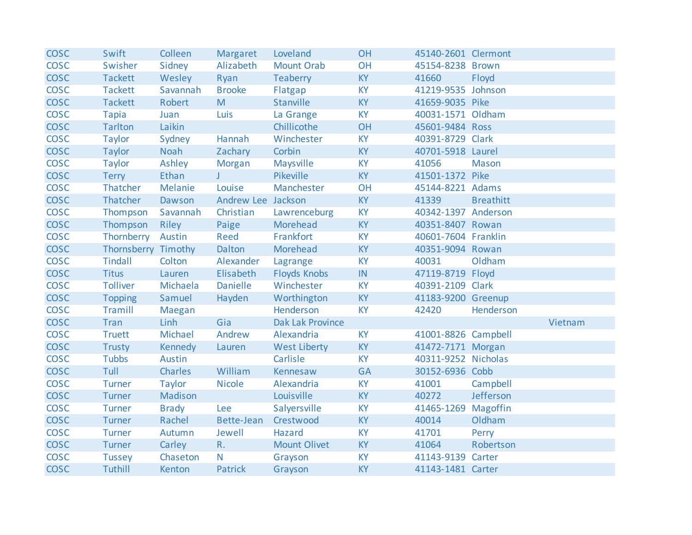| <b>COSC</b> | Swift               | Colleen       | Margaret           | Loveland                | OH        | 45140-2601 Clermont |                  |         |
|-------------|---------------------|---------------|--------------------|-------------------------|-----------|---------------------|------------------|---------|
| <b>COSC</b> | Swisher             | Sidney        | Alizabeth          | <b>Mount Orab</b>       | OH        | 45154-8238 Brown    |                  |         |
| <b>COSC</b> | <b>Tackett</b>      | Wesley        | Ryan               | Teaberry                | <b>KY</b> | 41660               | Floyd            |         |
| <b>COSC</b> | <b>Tackett</b>      | Savannah      | <b>Brooke</b>      | Flatgap                 | <b>KY</b> | 41219-9535 Johnson  |                  |         |
| <b>COSC</b> | <b>Tackett</b>      | Robert        | M                  | Stanville               | <b>KY</b> | 41659-9035 Pike     |                  |         |
| <b>COSC</b> | <b>Tapia</b>        | Juan          | Luis               | La Grange               | <b>KY</b> | 40031-1571 Oldham   |                  |         |
| <b>COSC</b> | <b>Tarlton</b>      | Laikin        |                    | Chillicothe             | OH        | 45601-9484 Ross     |                  |         |
| <b>COSC</b> | <b>Taylor</b>       | Sydney        | Hannah             | Winchester              | <b>KY</b> | 40391-8729 Clark    |                  |         |
| <b>COSC</b> | Taylor              | Noah          | Zachary            | Corbin                  | <b>KY</b> | 40701-5918 Laurel   |                  |         |
| <b>COSC</b> | <b>Taylor</b>       | Ashley        | <b>Morgan</b>      | Maysville               | <b>KY</b> | 41056               | <b>Mason</b>     |         |
| <b>COSC</b> | <b>Terry</b>        | Ethan         | T                  | Pikeville               | <b>KY</b> | 41501-1372 Pike     |                  |         |
| <b>COSC</b> | Thatcher            | Melanie       | Louise             | Manchester              | OH        | 45144-8221 Adams    |                  |         |
| <b>COSC</b> | Thatcher            | Dawson        | Andrew Lee Jackson |                         | <b>KY</b> | 41339               | <b>Breathitt</b> |         |
| <b>COSC</b> | Thompson            | Savannah      | Christian          | Lawrenceburg            | <b>KY</b> | 40342-1397 Anderson |                  |         |
| <b>COSC</b> | Thompson            | Riley         | Paige              | Morehead                | <b>KY</b> | 40351-8407 Rowan    |                  |         |
| <b>COSC</b> | Thornberry          | Austin        | Reed               | Frankfort               | <b>KY</b> | 40601-7604 Franklin |                  |         |
| <b>COSC</b> | Thornsberry Timothy |               | Dalton             | Morehead                | <b>KY</b> | 40351-9094 Rowan    |                  |         |
| <b>COSC</b> | <b>Tindall</b>      | Colton        | Alexander          | Lagrange                | <b>KY</b> | 40031               | Oldham           |         |
| <b>COSC</b> | <b>Titus</b>        | Lauren        | Elisabeth          | <b>Floyds Knobs</b>     | IN        | 47119-8719 Floyd    |                  |         |
| <b>COSC</b> | <b>Tolliver</b>     | Michaela      | <b>Danielle</b>    | Winchester              | <b>KY</b> | 40391-2109 Clark    |                  |         |
| <b>COSC</b> | <b>Topping</b>      | Samuel        | Hayden             | Worthington             | <b>KY</b> | 41183-9200 Greenup  |                  |         |
| <b>COSC</b> | Tramill             | Maegan        |                    | Henderson               | <b>KY</b> | 42420               | Henderson        |         |
| <b>COSC</b> | Tran                | Linh          | Gia                | <b>Dak Lak Province</b> |           |                     |                  | Vietnam |
| <b>COSC</b> | <b>Truett</b>       | Michael       | Andrew             | Alexandria              | <b>KY</b> | 41001-8826 Campbell |                  |         |
| <b>COSC</b> | <b>Trusty</b>       | Kennedy       | Lauren             | <b>West Liberty</b>     | <b>KY</b> | 41472-7171 Morgan   |                  |         |
| <b>COSC</b> | <b>Tubbs</b>        | <b>Austin</b> |                    | Carlisle                | <b>KY</b> | 40311-9252 Nicholas |                  |         |
| <b>COSC</b> | Tull                | Charles       | William            | Kennesaw                | <b>GA</b> | 30152-6936 Cobb     |                  |         |
| <b>COSC</b> | Turner              | <b>Taylor</b> | <b>Nicole</b>      | Alexandria              | <b>KY</b> | 41001               | Campbell         |         |
| <b>COSC</b> | Turner              | Madison       |                    | Louisville              | <b>KY</b> | 40272               | Jefferson        |         |
| <b>COSC</b> | Turner              | <b>Brady</b>  | Lee                | Salyersville            | <b>KY</b> | 41465-1269          | Magoffin         |         |
| <b>COSC</b> | Turner              | Rachel        | Bette-Jean         | Crestwood               | <b>KY</b> | 40014               | Oldham           |         |
| <b>COSC</b> | Turner              | Autumn        | Jewell             | <b>Hazard</b>           | <b>KY</b> | 41701               | Perry            |         |
| <b>COSC</b> | Turner              | Carley        | R.                 | <b>Mount Olivet</b>     | <b>KY</b> | 41064               | Robertson        |         |
| <b>COSC</b> | <b>Tussey</b>       | Chaseton      | N                  | Grayson                 | <b>KY</b> | 41143-9139 Carter   |                  |         |
| <b>COSC</b> | Tuthill             | Kenton        | <b>Patrick</b>     | Grayson                 | <b>KY</b> | 41143-1481 Carter   |                  |         |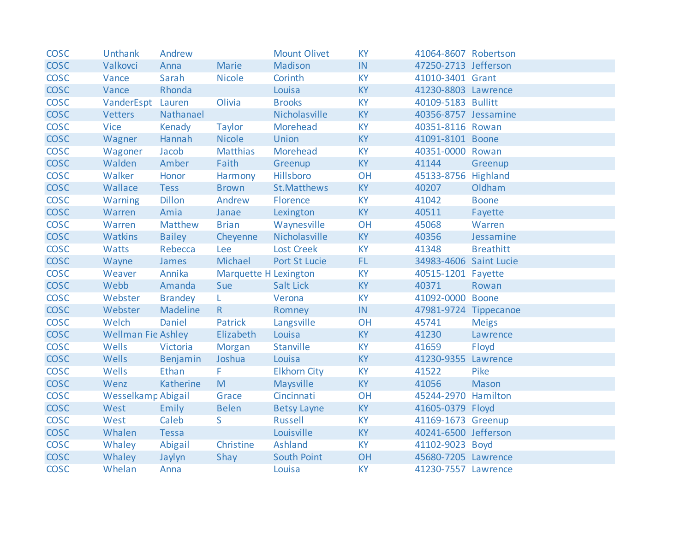| <b>COSC</b> | <b>Unthank</b>            | Andrew         |                              | <b>Mount Olivet</b> | <b>KY</b> | 41064-8607 Robertson   |                  |
|-------------|---------------------------|----------------|------------------------------|---------------------|-----------|------------------------|------------------|
| <b>COSC</b> | Valkovci                  | Anna           | Marie                        | Madison             | IN.       | 47250-2713 Jefferson   |                  |
| <b>COSC</b> | Vance                     | Sarah          | <b>Nicole</b>                | Corinth             | <b>KY</b> | 41010-3401 Grant       |                  |
| <b>COSC</b> | Vance                     | Rhonda         |                              | Louisa              | <b>KY</b> | 41230-8803 Lawrence    |                  |
| <b>COSC</b> | VanderEspt Lauren         |                | Olivia                       | <b>Brooks</b>       | <b>KY</b> | 40109-5183 Bullitt     |                  |
| <b>COSC</b> | <b>Vetters</b>            | Nathanael      |                              | Nicholasville       | <b>KY</b> | 40356-8757 Jessamine   |                  |
| <b>COSC</b> | <b>Vice</b>               | Kenady         | Taylor                       | Morehead            | <b>KY</b> | 40351-8116 Rowan       |                  |
| <b>COSC</b> | Wagner                    | Hannah         | <b>Nicole</b>                | <b>Union</b>        | <b>KY</b> | 41091-8101 Boone       |                  |
| <b>COSC</b> | Wagoner                   | Jacob          | <b>Matthias</b>              | Morehead            | <b>KY</b> | 40351-0000 Rowan       |                  |
| <b>COSC</b> | Walden                    | Amber          | Faith                        | Greenup             | <b>KY</b> | 41144                  | Greenup          |
| <b>COSC</b> | Walker                    | Honor          | Harmony                      | Hillsboro           | OH        | 45133-8756 Highland    |                  |
| <b>COSC</b> | Wallace                   | Tess           | <b>Brown</b>                 | St.Matthews         | <b>KY</b> | 40207                  | Oldham           |
| <b>COSC</b> | <b>Warning</b>            | <b>Dillon</b>  | Andrew                       | Florence            | <b>KY</b> | 41042                  | <b>Boone</b>     |
| <b>COSC</b> | Warren                    | Amia           | Janae                        | Lexington           | <b>KY</b> | 40511                  | Fayette          |
| <b>COSC</b> | Warren                    | Matthew        | <b>Brian</b>                 | Waynesville         | OH        | 45068                  | Warren           |
| <b>COSC</b> | Watkins                   | <b>Bailey</b>  | Cheyenne                     | Nicholasville       | <b>KY</b> | 40356                  | Jessamine        |
| <b>COSC</b> | Watts                     | Rebecca        | Lee                          | <b>Lost Creek</b>   | <b>KY</b> | 41348                  | <b>Breathitt</b> |
| <b>COSC</b> | Wayne                     | James          | Michael                      | Port St Lucie       | FL.       | 34983-4606 Saint Lucie |                  |
| <b>COSC</b> | Weaver                    | Annika         | <b>Marquette H Lexington</b> |                     | <b>KY</b> | 40515-1201 Fayette     |                  |
| <b>COSC</b> | Webb                      | Amanda         | Sue                          | Salt Lick           | <b>KY</b> | 40371                  | Rowan            |
| <b>COSC</b> | Webster                   | <b>Brandey</b> | L.                           | Verona              | <b>KY</b> | 41092-0000 Boone       |                  |
| <b>COSC</b> | Webster                   | Madeline       | $\mathsf{R}$                 | Romney              | IN        | 47981-9724 Tippecanoe  |                  |
| <b>COSC</b> | Welch                     | Daniel         | Patrick                      | Langsville          | OH        | 45741                  | <b>Meigs</b>     |
| <b>COSC</b> | <b>Wellman Fie Ashley</b> |                | Elizabeth                    | Louisa              | <b>KY</b> | 41230                  | Lawrence         |
| <b>COSC</b> | Wells                     | Victoria       | Morgan                       | Stanville           | <b>KY</b> | 41659                  | Floyd            |
| <b>COSC</b> | Wells                     | Benjamin       | Joshua                       | Louisa              | <b>KY</b> | 41230-9355 Lawrence    |                  |
| <b>COSC</b> | Wells                     | Ethan          | F.                           | <b>Elkhorn City</b> | <b>KY</b> | 41522                  | Pike             |
| <b>COSC</b> | Wenz                      | Katherine      | M                            | Maysville           | <b>KY</b> | 41056                  | Mason            |
| <b>COSC</b> | Wesselkamp Abigail        |                | Grace                        | Cincinnati          | OH        | 45244-2970 Hamilton    |                  |
| <b>COSC</b> | West                      | Emily          | <b>Belen</b>                 | <b>Betsy Layne</b>  | <b>KY</b> | 41605-0379 Floyd       |                  |
| <b>COSC</b> | West                      | Caleb          | S.                           | <b>Russell</b>      | <b>KY</b> | 41169-1673 Greenup     |                  |
| <b>COSC</b> | Whalen                    | Tessa          |                              | Louisville          | <b>KY</b> | 40241-6500 Jefferson   |                  |
| <b>COSC</b> | Whaley                    | Abigail        | Christine                    | Ashland             | <b>KY</b> | 41102-9023 Boyd        |                  |
| <b>COSC</b> | Whaley                    | Jaylyn         | Shay                         | South Point         | OH        | 45680-7205 Lawrence    |                  |
| <b>COSC</b> | Whelan                    | Anna           |                              | Louisa              | <b>KY</b> | 41230-7557 Lawrence    |                  |